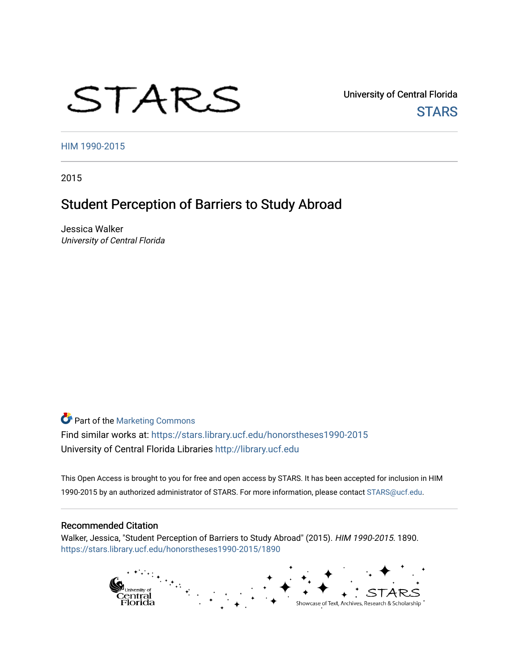# STARS

University of Central Florida **STARS** 

[HIM 1990-2015](https://stars.library.ucf.edu/honorstheses1990-2015) 

2015

# Student Perception of Barriers to Study Abroad

Jessica Walker University of Central Florida

**Part of the [Marketing Commons](http://network.bepress.com/hgg/discipline/638?utm_source=stars.library.ucf.edu%2Fhonorstheses1990-2015%2F1890&utm_medium=PDF&utm_campaign=PDFCoverPages)** Find similar works at: <https://stars.library.ucf.edu/honorstheses1990-2015> University of Central Florida Libraries [http://library.ucf.edu](http://library.ucf.edu/) 

This Open Access is brought to you for free and open access by STARS. It has been accepted for inclusion in HIM 1990-2015 by an authorized administrator of STARS. For more information, please contact [STARS@ucf.edu](mailto:STARS@ucf.edu).

#### Recommended Citation

Walker, Jessica, "Student Perception of Barriers to Study Abroad" (2015). HIM 1990-2015. 1890. [https://stars.library.ucf.edu/honorstheses1990-2015/1890](https://stars.library.ucf.edu/honorstheses1990-2015/1890?utm_source=stars.library.ucf.edu%2Fhonorstheses1990-2015%2F1890&utm_medium=PDF&utm_campaign=PDFCoverPages) 

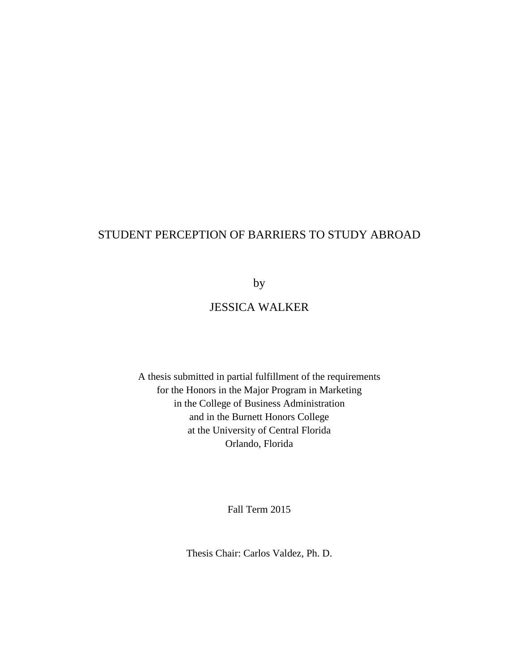# STUDENT PERCEPTION OF BARRIERS TO STUDY ABROAD

by

# JESSICA WALKER

A thesis submitted in partial fulfillment of the requirements for the Honors in the Major Program in Marketing in the College of Business Administration and in the Burnett Honors College at the University of Central Florida Orlando, Florida

Fall Term 2015

Thesis Chair: Carlos Valdez, Ph. D.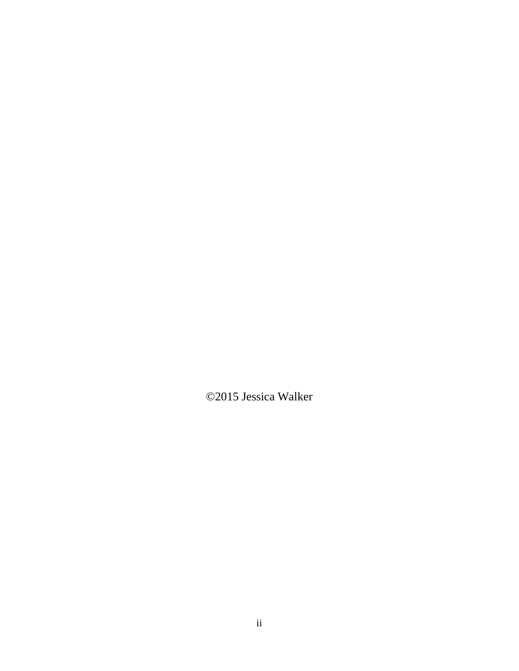©2015 Jessica Walker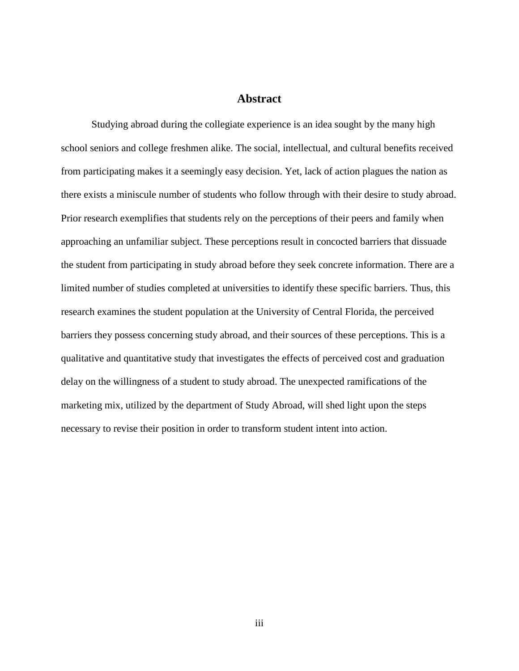## **Abstract**

Studying abroad during the collegiate experience is an idea sought by the many high school seniors and college freshmen alike. The social, intellectual, and cultural benefits received from participating makes it a seemingly easy decision. Yet, lack of action plagues the nation as there exists a miniscule number of students who follow through with their desire to study abroad. Prior research exemplifies that students rely on the perceptions of their peers and family when approaching an unfamiliar subject. These perceptions result in concocted barriers that dissuade the student from participating in study abroad before they seek concrete information. There are a limited number of studies completed at universities to identify these specific barriers. Thus, this research examines the student population at the University of Central Florida, the perceived barriers they possess concerning study abroad, and their sources of these perceptions. This is a qualitative and quantitative study that investigates the effects of perceived cost and graduation delay on the willingness of a student to study abroad. The unexpected ramifications of the marketing mix, utilized by the department of Study Abroad, will shed light upon the steps necessary to revise their position in order to transform student intent into action.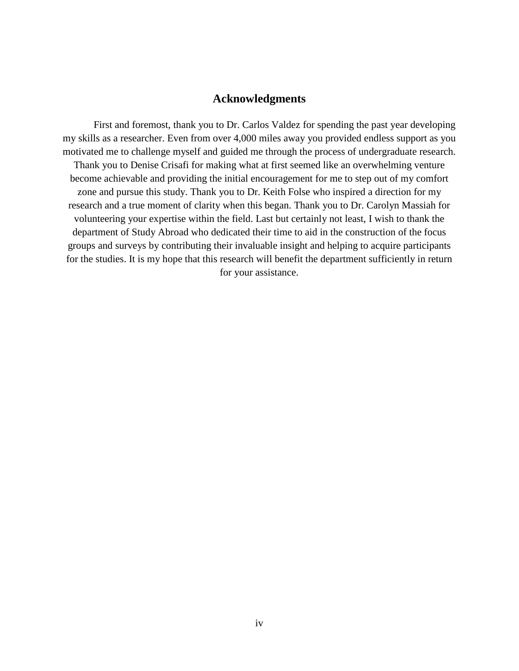# **Acknowledgments**

First and foremost, thank you to Dr. Carlos Valdez for spending the past year developing my skills as a researcher. Even from over 4,000 miles away you provided endless support as you motivated me to challenge myself and guided me through the process of undergraduate research. Thank you to Denise Crisafi for making what at first seemed like an overwhelming venture become achievable and providing the initial encouragement for me to step out of my comfort zone and pursue this study. Thank you to Dr. Keith Folse who inspired a direction for my research and a true moment of clarity when this began. Thank you to Dr. Carolyn Massiah for volunteering your expertise within the field. Last but certainly not least, I wish to thank the department of Study Abroad who dedicated their time to aid in the construction of the focus groups and surveys by contributing their invaluable insight and helping to acquire participants for the studies. It is my hope that this research will benefit the department sufficiently in return for your assistance.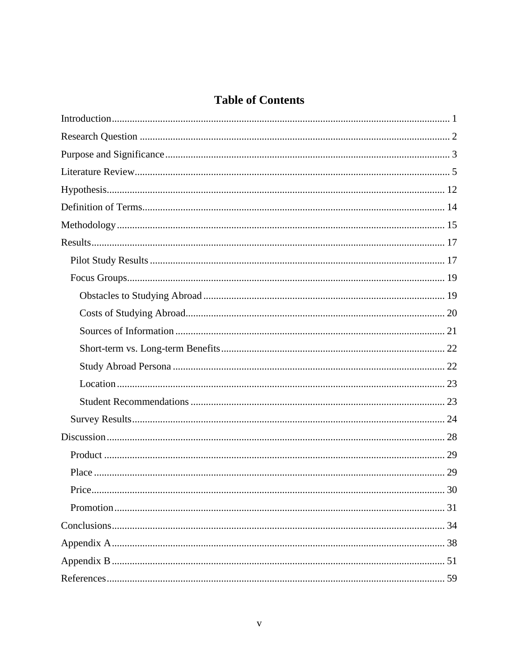# **Table of Contents**

| Price<br>30 |
|-------------|
|             |
|             |
|             |
|             |
|             |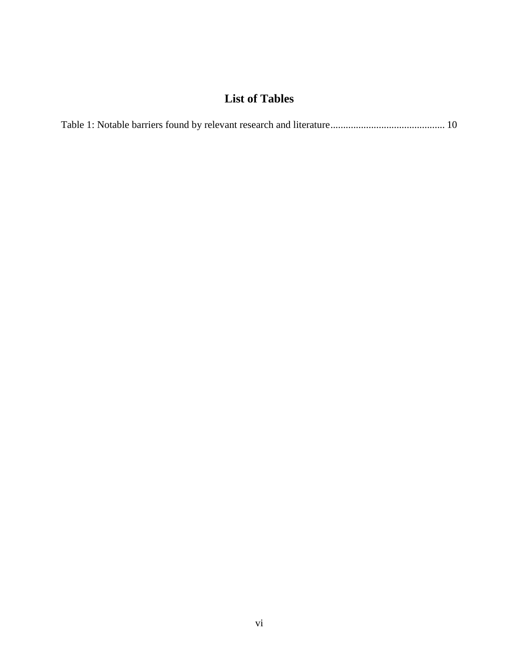# **List of Tables**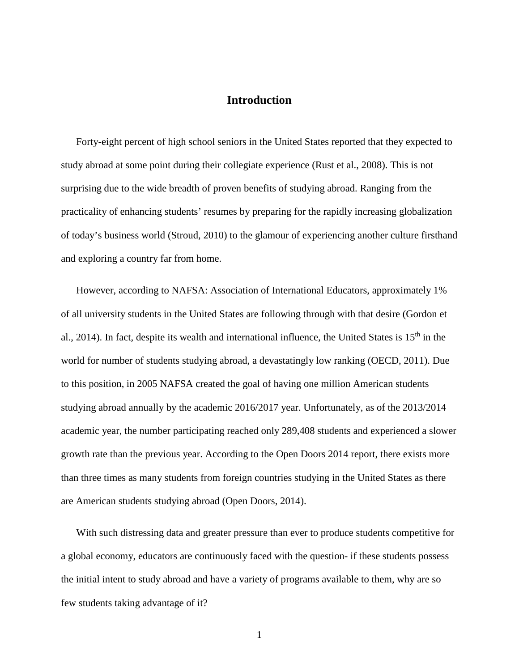## **Introduction**

<span id="page-7-0"></span>Forty-eight percent of high school seniors in the United States reported that they expected to study abroad at some point during their collegiate experience (Rust et al., 2008). This is not surprising due to the wide breadth of proven benefits of studying abroad. Ranging from the practicality of enhancing students' resumes by preparing for the rapidly increasing globalization of today's business world (Stroud, 2010) to the glamour of experiencing another culture firsthand and exploring a country far from home.

However, according to NAFSA: Association of International Educators, approximately 1% of all university students in the United States are following through with that desire (Gordon et al., 2014). In fact, despite its wealth and international influence, the United States is  $15<sup>th</sup>$  in the world for number of students studying abroad, a devastatingly low ranking (OECD, 2011). Due to this position, in 2005 NAFSA created the goal of having one million American students studying abroad annually by the academic 2016/2017 year. Unfortunately, as of the 2013/2014 academic year, the number participating reached only 289,408 students and experienced a slower growth rate than the previous year. According to the Open Doors 2014 report, there exists more than three times as many students from foreign countries studying in the United States as there are American students studying abroad (Open Doors, 2014).

With such distressing data and greater pressure than ever to produce students competitive for a global economy, educators are continuously faced with the question- if these students possess the initial intent to study abroad and have a variety of programs available to them, why are so few students taking advantage of it?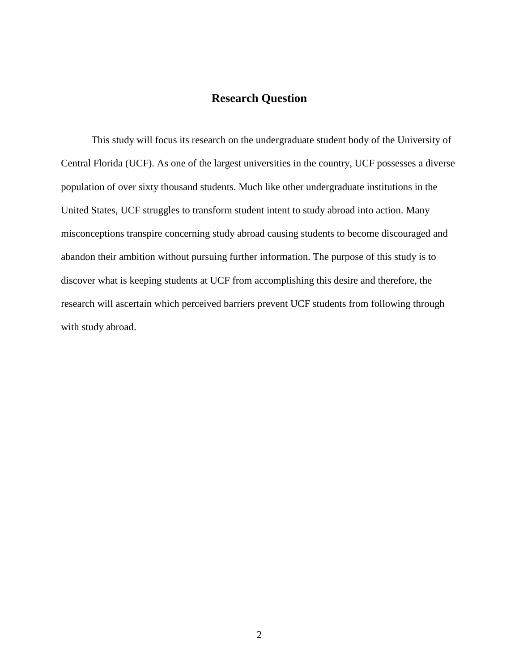# **Research Question**

<span id="page-8-0"></span>This study will focus its research on the undergraduate student body of the University of Central Florida (UCF). As one of the largest universities in the country, UCF possesses a diverse population of over sixty thousand students. Much like other undergraduate institutions in the United States, UCF struggles to transform student intent to study abroad into action. Many misconceptions transpire concerning study abroad causing students to become discouraged and abandon their ambition without pursuing further information. The purpose of this study is to discover what is keeping students at UCF from accomplishing this desire and therefore, the research will ascertain which perceived barriers prevent UCF students from following through with study abroad.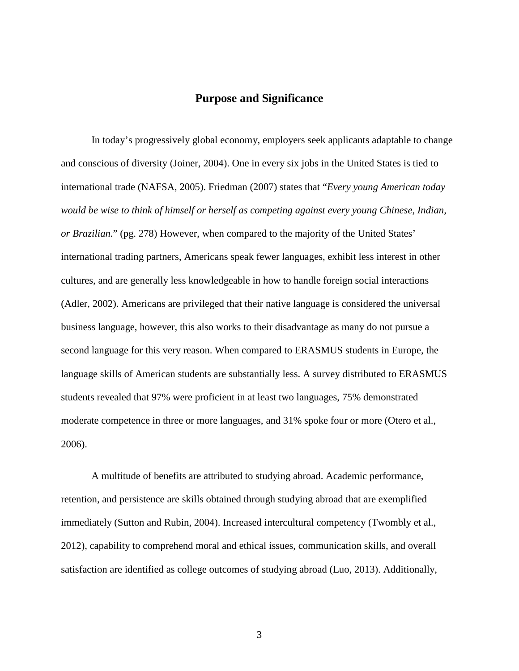# **Purpose and Significance**

<span id="page-9-0"></span>In today's progressively global economy, employers seek applicants adaptable to change and conscious of diversity (Joiner, 2004). One in every six jobs in the United States is tied to international trade (NAFSA, 2005). Friedman (2007) states that "*Every young American today would be wise to think of himself or herself as competing against every young Chinese, Indian, or Brazilian.*" (pg. 278) However, when compared to the majority of the United States' international trading partners, Americans speak fewer languages, exhibit less interest in other cultures, and are generally less knowledgeable in how to handle foreign social interactions (Adler, 2002). Americans are privileged that their native language is considered the universal business language, however, this also works to their disadvantage as many do not pursue a second language for this very reason. When compared to ERASMUS students in Europe, the language skills of American students are substantially less. A survey distributed to ERASMUS students revealed that 97% were proficient in at least two languages, 75% demonstrated moderate competence in three or more languages, and 31% spoke four or more (Otero et al., 2006).

A multitude of benefits are attributed to studying abroad. Academic performance, retention, and persistence are skills obtained through studying abroad that are exemplified immediately (Sutton and Rubin, 2004). Increased intercultural competency (Twombly et al., 2012), capability to comprehend moral and ethical issues, communication skills, and overall satisfaction are identified as college outcomes of studying abroad (Luo, 2013). Additionally,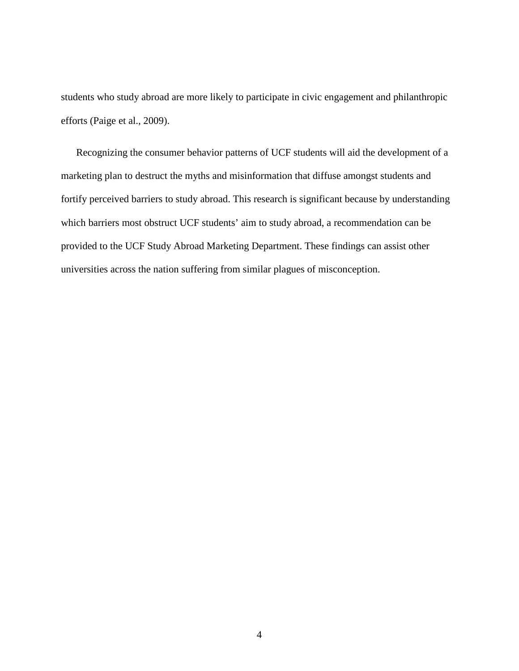students who study abroad are more likely to participate in civic engagement and philanthropic efforts (Paige et al., 2009).

Recognizing the consumer behavior patterns of UCF students will aid the development of a marketing plan to destruct the myths and misinformation that diffuse amongst students and fortify perceived barriers to study abroad. This research is significant because by understanding which barriers most obstruct UCF students' aim to study abroad, a recommendation can be provided to the UCF Study Abroad Marketing Department. These findings can assist other universities across the nation suffering from similar plagues of misconception.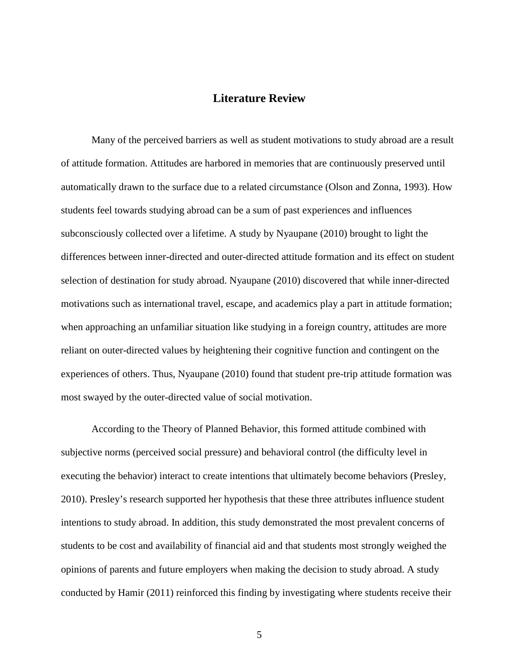# **Literature Review**

<span id="page-11-0"></span>Many of the perceived barriers as well as student motivations to study abroad are a result of attitude formation. Attitudes are harbored in memories that are continuously preserved until automatically drawn to the surface due to a related circumstance (Olson and Zonna, 1993). How students feel towards studying abroad can be a sum of past experiences and influences subconsciously collected over a lifetime. A study by Nyaupane (2010) brought to light the differences between inner-directed and outer-directed attitude formation and its effect on student selection of destination for study abroad. Nyaupane (2010) discovered that while inner-directed motivations such as international travel, escape, and academics play a part in attitude formation; when approaching an unfamiliar situation like studying in a foreign country, attitudes are more reliant on outer-directed values by heightening their cognitive function and contingent on the experiences of others. Thus, Nyaupane (2010) found that student pre-trip attitude formation was most swayed by the outer-directed value of social motivation.

According to the Theory of Planned Behavior, this formed attitude combined with subjective norms (perceived social pressure) and behavioral control (the difficulty level in executing the behavior) interact to create intentions that ultimately become behaviors (Presley, 2010). Presley's research supported her hypothesis that these three attributes influence student intentions to study abroad. In addition, this study demonstrated the most prevalent concerns of students to be cost and availability of financial aid and that students most strongly weighed the opinions of parents and future employers when making the decision to study abroad. A study conducted by Hamir (2011) reinforced this finding by investigating where students receive their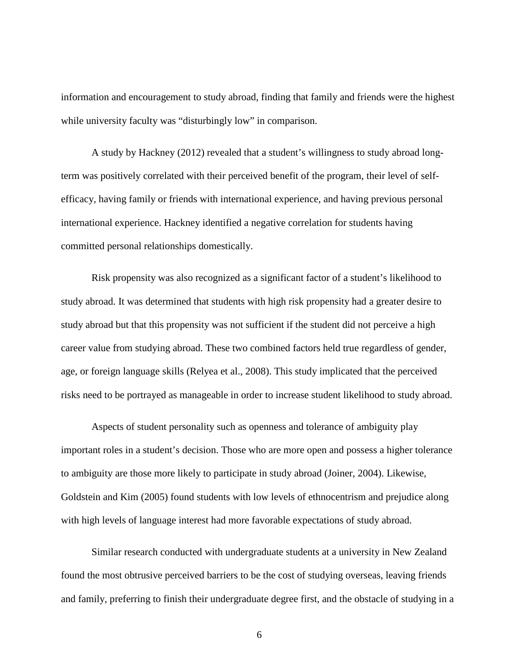information and encouragement to study abroad, finding that family and friends were the highest while university faculty was "disturbingly low" in comparison.

A study by Hackney (2012) revealed that a student's willingness to study abroad longterm was positively correlated with their perceived benefit of the program, their level of selfefficacy, having family or friends with international experience, and having previous personal international experience. Hackney identified a negative correlation for students having committed personal relationships domestically.

Risk propensity was also recognized as a significant factor of a student's likelihood to study abroad. It was determined that students with high risk propensity had a greater desire to study abroad but that this propensity was not sufficient if the student did not perceive a high career value from studying abroad. These two combined factors held true regardless of gender, age, or foreign language skills (Relyea et al., 2008). This study implicated that the perceived risks need to be portrayed as manageable in order to increase student likelihood to study abroad.

Aspects of student personality such as openness and tolerance of ambiguity play important roles in a student's decision. Those who are more open and possess a higher tolerance to ambiguity are those more likely to participate in study abroad (Joiner, 2004). Likewise, Goldstein and Kim (2005) found students with low levels of ethnocentrism and prejudice along with high levels of language interest had more favorable expectations of study abroad.

Similar research conducted with undergraduate students at a university in New Zealand found the most obtrusive perceived barriers to be the cost of studying overseas, leaving friends and family, preferring to finish their undergraduate degree first, and the obstacle of studying in a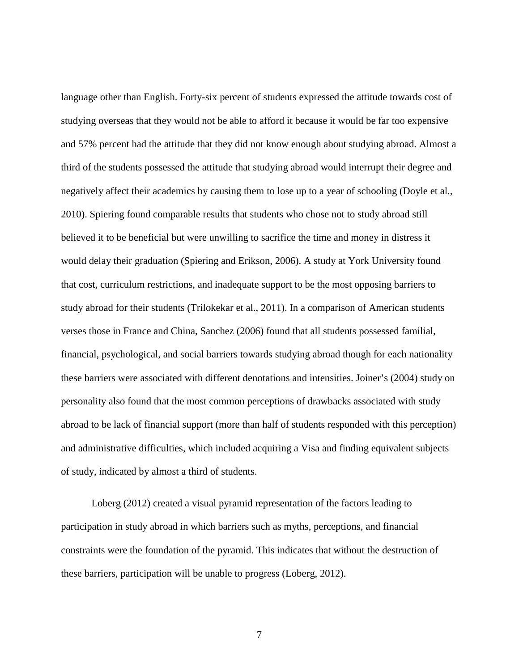language other than English. Forty-six percent of students expressed the attitude towards cost of studying overseas that they would not be able to afford it because it would be far too expensive and 57% percent had the attitude that they did not know enough about studying abroad. Almost a third of the students possessed the attitude that studying abroad would interrupt their degree and negatively affect their academics by causing them to lose up to a year of schooling (Doyle et al., 2010). Spiering found comparable results that students who chose not to study abroad still believed it to be beneficial but were unwilling to sacrifice the time and money in distress it would delay their graduation (Spiering and Erikson, 2006). A study at York University found that cost, curriculum restrictions, and inadequate support to be the most opposing barriers to study abroad for their students (Trilokekar et al., 2011). In a comparison of American students verses those in France and China, Sanchez (2006) found that all students possessed familial, financial, psychological, and social barriers towards studying abroad though for each nationality these barriers were associated with different denotations and intensities. Joiner's (2004) study on personality also found that the most common perceptions of drawbacks associated with study abroad to be lack of financial support (more than half of students responded with this perception) and administrative difficulties, which included acquiring a Visa and finding equivalent subjects of study, indicated by almost a third of students.

Loberg (2012) created a visual pyramid representation of the factors leading to participation in study abroad in which barriers such as myths, perceptions, and financial constraints were the foundation of the pyramid. This indicates that without the destruction of these barriers, participation will be unable to progress (Loberg, 2012).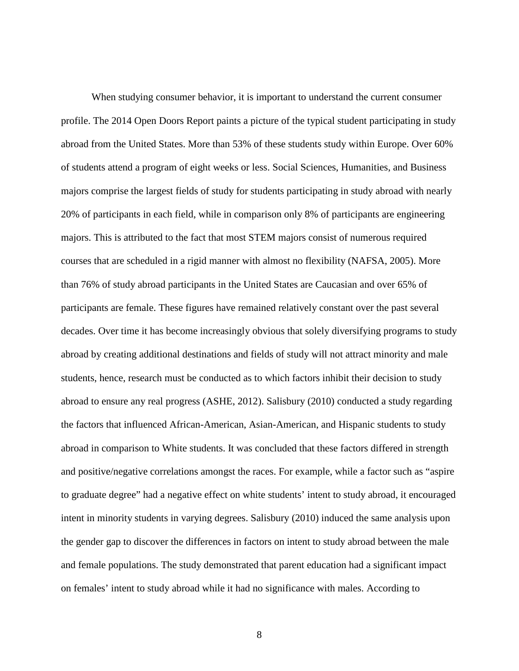When studying consumer behavior, it is important to understand the current consumer profile. The 2014 Open Doors Report paints a picture of the typical student participating in study abroad from the United States. More than 53% of these students study within Europe. Over 60% of students attend a program of eight weeks or less. Social Sciences, Humanities, and Business majors comprise the largest fields of study for students participating in study abroad with nearly 20% of participants in each field, while in comparison only 8% of participants are engineering majors. This is attributed to the fact that most STEM majors consist of numerous required courses that are scheduled in a rigid manner with almost no flexibility (NAFSA, 2005). More than 76% of study abroad participants in the United States are Caucasian and over 65% of participants are female. These figures have remained relatively constant over the past several decades. Over time it has become increasingly obvious that solely diversifying programs to study abroad by creating additional destinations and fields of study will not attract minority and male students, hence, research must be conducted as to which factors inhibit their decision to study abroad to ensure any real progress (ASHE, 2012). Salisbury (2010) conducted a study regarding the factors that influenced African-American, Asian-American, and Hispanic students to study abroad in comparison to White students. It was concluded that these factors differed in strength and positive/negative correlations amongst the races. For example, while a factor such as "aspire to graduate degree" had a negative effect on white students' intent to study abroad, it encouraged intent in minority students in varying degrees. Salisbury (2010) induced the same analysis upon the gender gap to discover the differences in factors on intent to study abroad between the male and female populations. The study demonstrated that parent education had a significant impact on females' intent to study abroad while it had no significance with males. According to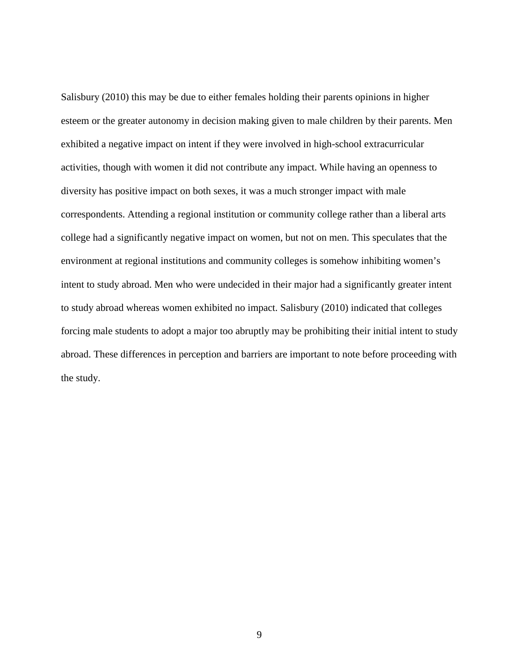Salisbury (2010) this may be due to either females holding their parents opinions in higher esteem or the greater autonomy in decision making given to male children by their parents. Men exhibited a negative impact on intent if they were involved in high-school extracurricular activities, though with women it did not contribute any impact. While having an openness to diversity has positive impact on both sexes, it was a much stronger impact with male correspondents. Attending a regional institution or community college rather than a liberal arts college had a significantly negative impact on women, but not on men. This speculates that the environment at regional institutions and community colleges is somehow inhibiting women's intent to study abroad. Men who were undecided in their major had a significantly greater intent to study abroad whereas women exhibited no impact. Salisbury (2010) indicated that colleges forcing male students to adopt a major too abruptly may be prohibiting their initial intent to study abroad. These differences in perception and barriers are important to note before proceeding with the study.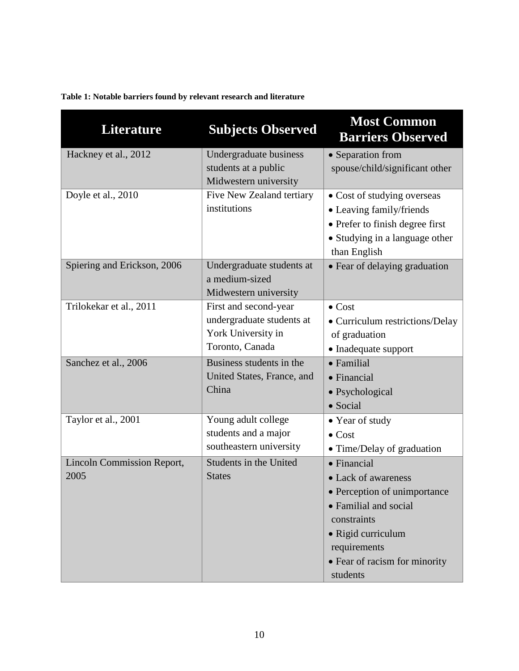| <b>Literature</b>                         | <b>Subjects Observed</b>                                                                    | <b>Most Common</b><br><b>Barriers Observed</b>                                                                                                                                                        |
|-------------------------------------------|---------------------------------------------------------------------------------------------|-------------------------------------------------------------------------------------------------------------------------------------------------------------------------------------------------------|
| Hackney et al., 2012                      | Undergraduate business<br>students at a public<br>Midwestern university                     | • Separation from<br>spouse/child/significant other                                                                                                                                                   |
| Doyle et al., 2010                        | Five New Zealand tertiary<br>institutions                                                   | • Cost of studying overseas<br>• Leaving family/friends<br>• Prefer to finish degree first<br>• Studying in a language other<br>than English                                                          |
| Spiering and Erickson, 2006               | Undergraduate students at<br>a medium-sized<br>Midwestern university                        | • Fear of delaying graduation                                                                                                                                                                         |
| Trilokekar et al., 2011                   | First and second-year<br>undergraduate students at<br>York University in<br>Toronto, Canada | $\bullet$ Cost<br>• Curriculum restrictions/Delay<br>of graduation<br>• Inadequate support                                                                                                            |
| Sanchez et al., 2006                      | Business students in the<br>United States, France, and<br>China                             | $\bullet$ Familial<br>$\bullet$ Financial<br>• Psychological<br>$\bullet$ Social                                                                                                                      |
| Taylor et al., 2001                       | Young adult college<br>students and a major<br>southeastern university                      | • Year of study<br>$\bullet$ Cost<br>• Time/Delay of graduation                                                                                                                                       |
| <b>Lincoln Commission Report,</b><br>2005 | Students in the United<br><b>States</b>                                                     | $\bullet$ Financial<br>• Lack of awareness<br>• Perception of unimportance<br>• Familial and social<br>constraints<br>· Rigid curriculum<br>requirements<br>• Fear of racism for minority<br>students |

<span id="page-16-0"></span>**Table 1: Notable barriers found by relevant research and literature**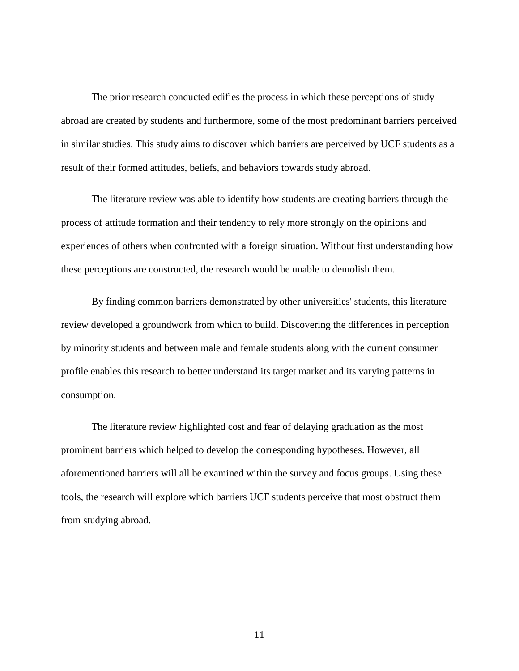The prior research conducted edifies the process in which these perceptions of study abroad are created by students and furthermore, some of the most predominant barriers perceived in similar studies. This study aims to discover which barriers are perceived by UCF students as a result of their formed attitudes, beliefs, and behaviors towards study abroad.

The literature review was able to identify how students are creating barriers through the process of attitude formation and their tendency to rely more strongly on the opinions and experiences of others when confronted with a foreign situation. Without first understanding how these perceptions are constructed, the research would be unable to demolish them.

By finding common barriers demonstrated by other universities' students, this literature review developed a groundwork from which to build. Discovering the differences in perception by minority students and between male and female students along with the current consumer profile enables this research to better understand its target market and its varying patterns in consumption.

The literature review highlighted cost and fear of delaying graduation as the most prominent barriers which helped to develop the corresponding hypotheses. However, all aforementioned barriers will all be examined within the survey and focus groups. Using these tools, the research will explore which barriers UCF students perceive that most obstruct them from studying abroad.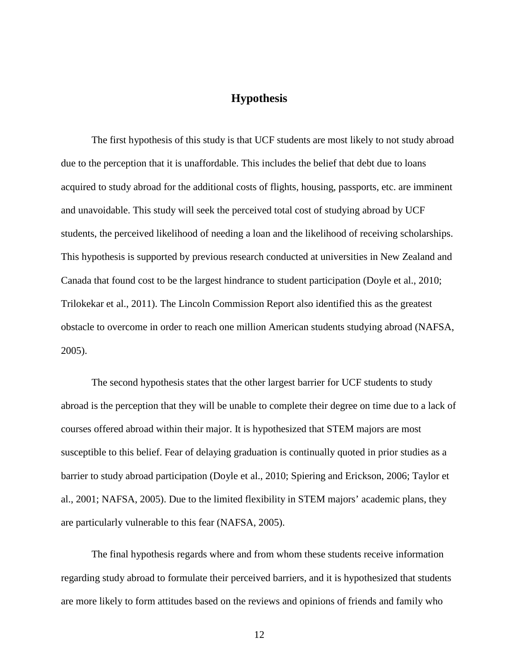# **Hypothesis**

<span id="page-18-0"></span>The first hypothesis of this study is that UCF students are most likely to not study abroad due to the perception that it is unaffordable. This includes the belief that debt due to loans acquired to study abroad for the additional costs of flights, housing, passports, etc. are imminent and unavoidable. This study will seek the perceived total cost of studying abroad by UCF students, the perceived likelihood of needing a loan and the likelihood of receiving scholarships. This hypothesis is supported by previous research conducted at universities in New Zealand and Canada that found cost to be the largest hindrance to student participation (Doyle et al., 2010; Trilokekar et al., 2011). The Lincoln Commission Report also identified this as the greatest obstacle to overcome in order to reach one million American students studying abroad (NAFSA, 2005).

The second hypothesis states that the other largest barrier for UCF students to study abroad is the perception that they will be unable to complete their degree on time due to a lack of courses offered abroad within their major. It is hypothesized that STEM majors are most susceptible to this belief. Fear of delaying graduation is continually quoted in prior studies as a barrier to study abroad participation (Doyle et al., 2010; Spiering and Erickson, 2006; Taylor et al., 2001; NAFSA, 2005). Due to the limited flexibility in STEM majors' academic plans, they are particularly vulnerable to this fear (NAFSA, 2005).

The final hypothesis regards where and from whom these students receive information regarding study abroad to formulate their perceived barriers, and it is hypothesized that students are more likely to form attitudes based on the reviews and opinions of friends and family who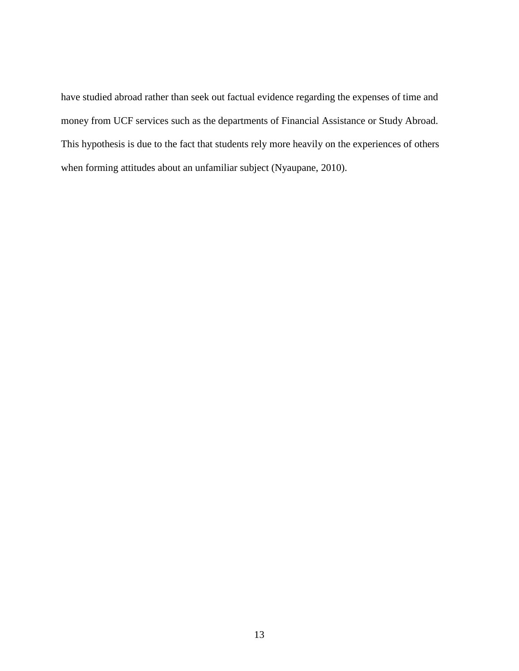have studied abroad rather than seek out factual evidence regarding the expenses of time and money from UCF services such as the departments of Financial Assistance or Study Abroad. This hypothesis is due to the fact that students rely more heavily on the experiences of others when forming attitudes about an unfamiliar subject (Nyaupane, 2010).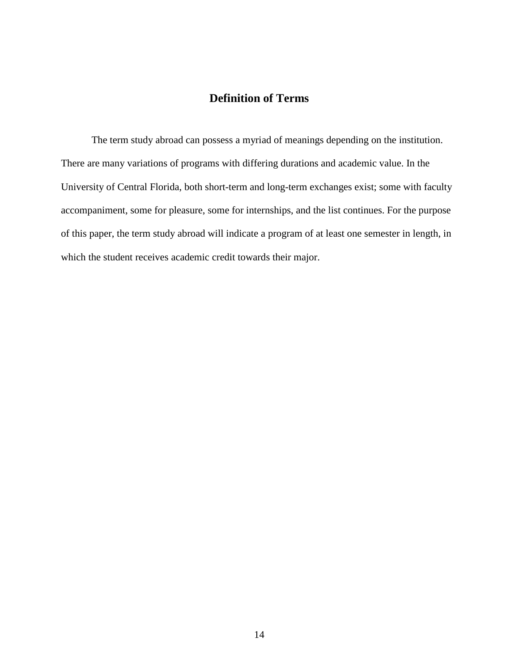# **Definition of Terms**

<span id="page-20-0"></span>The term study abroad can possess a myriad of meanings depending on the institution. There are many variations of programs with differing durations and academic value. In the University of Central Florida, both short-term and long-term exchanges exist; some with faculty accompaniment, some for pleasure, some for internships, and the list continues. For the purpose of this paper, the term study abroad will indicate a program of at least one semester in length, in which the student receives academic credit towards their major.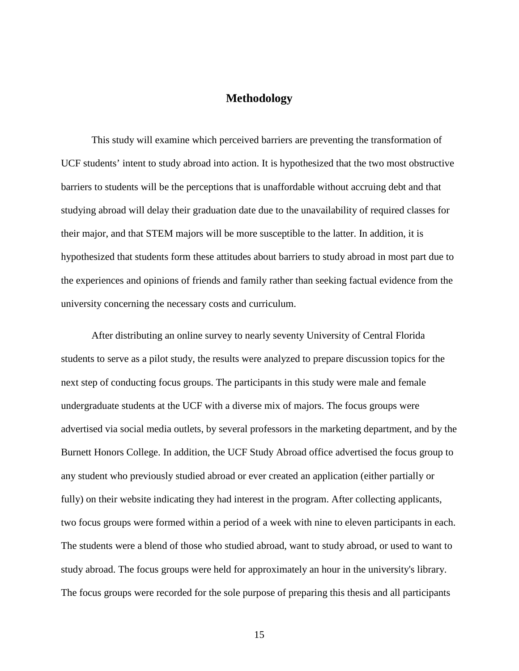# **Methodology**

<span id="page-21-0"></span>This study will examine which perceived barriers are preventing the transformation of UCF students' intent to study abroad into action. It is hypothesized that the two most obstructive barriers to students will be the perceptions that is unaffordable without accruing debt and that studying abroad will delay their graduation date due to the unavailability of required classes for their major, and that STEM majors will be more susceptible to the latter. In addition, it is hypothesized that students form these attitudes about barriers to study abroad in most part due to the experiences and opinions of friends and family rather than seeking factual evidence from the university concerning the necessary costs and curriculum.

After distributing an online survey to nearly seventy University of Central Florida students to serve as a pilot study, the results were analyzed to prepare discussion topics for the next step of conducting focus groups. The participants in this study were male and female undergraduate students at the UCF with a diverse mix of majors. The focus groups were advertised via social media outlets, by several professors in the marketing department, and by the Burnett Honors College. In addition, the UCF Study Abroad office advertised the focus group to any student who previously studied abroad or ever created an application (either partially or fully) on their website indicating they had interest in the program. After collecting applicants, two focus groups were formed within a period of a week with nine to eleven participants in each. The students were a blend of those who studied abroad, want to study abroad, or used to want to study abroad. The focus groups were held for approximately an hour in the university's library. The focus groups were recorded for the sole purpose of preparing this thesis and all participants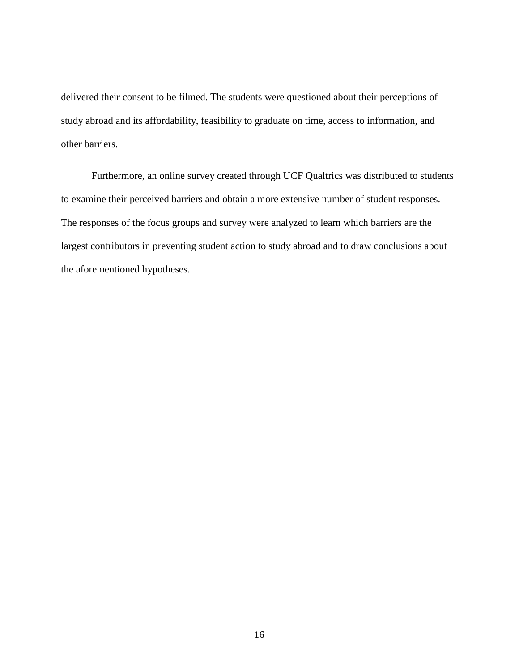delivered their consent to be filmed. The students were questioned about their perceptions of study abroad and its affordability, feasibility to graduate on time, access to information, and other barriers.

Furthermore, an online survey created through UCF Qualtrics was distributed to students to examine their perceived barriers and obtain a more extensive number of student responses. The responses of the focus groups and survey were analyzed to learn which barriers are the largest contributors in preventing student action to study abroad and to draw conclusions about the aforementioned hypotheses.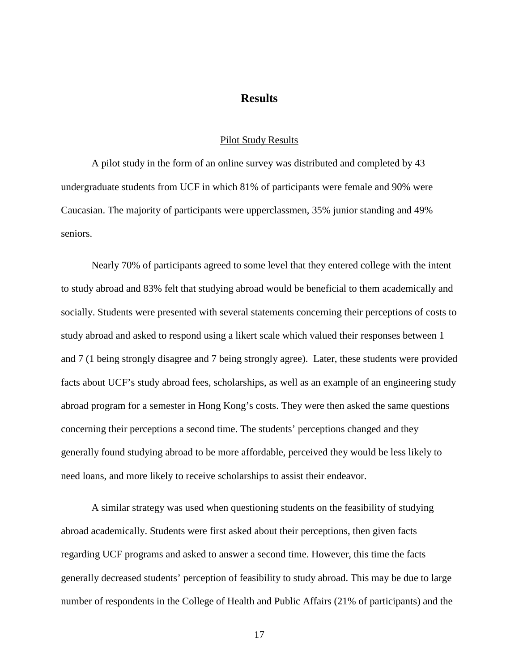## **Results**

#### Pilot Study Results

<span id="page-23-1"></span><span id="page-23-0"></span>A pilot study in the form of an online survey was distributed and completed by 43 undergraduate students from UCF in which 81% of participants were female and 90% were Caucasian. The majority of participants were upperclassmen, 35% junior standing and 49% seniors.

Nearly 70% of participants agreed to some level that they entered college with the intent to study abroad and 83% felt that studying abroad would be beneficial to them academically and socially. Students were presented with several statements concerning their perceptions of costs to study abroad and asked to respond using a likert scale which valued their responses between 1 and 7 (1 being strongly disagree and 7 being strongly agree). Later, these students were provided facts about UCF's study abroad fees, scholarships, as well as an example of an engineering study abroad program for a semester in Hong Kong's costs. They were then asked the same questions concerning their perceptions a second time. The students' perceptions changed and they generally found studying abroad to be more affordable, perceived they would be less likely to need loans, and more likely to receive scholarships to assist their endeavor.

A similar strategy was used when questioning students on the feasibility of studying abroad academically. Students were first asked about their perceptions, then given facts regarding UCF programs and asked to answer a second time. However, this time the facts generally decreased students' perception of feasibility to study abroad. This may be due to large number of respondents in the College of Health and Public Affairs (21% of participants) and the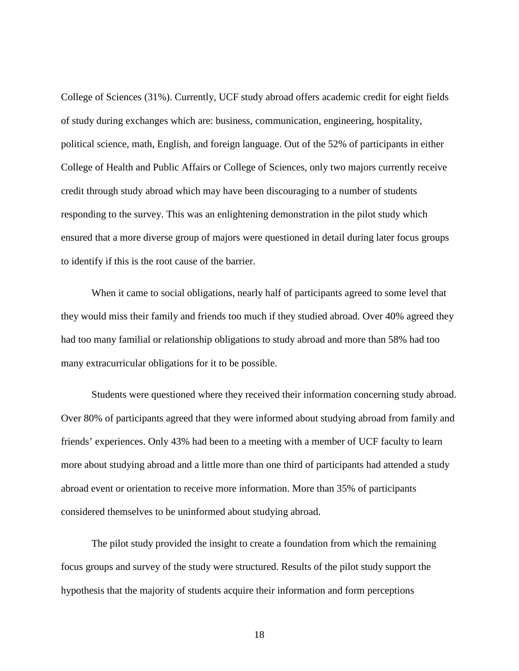College of Sciences (31%). Currently, UCF study abroad offers academic credit for eight fields of study during exchanges which are: business, communication, engineering, hospitality, political science, math, English, and foreign language. Out of the 52% of participants in either College of Health and Public Affairs or College of Sciences, only two majors currently receive credit through study abroad which may have been discouraging to a number of students responding to the survey. This was an enlightening demonstration in the pilot study which ensured that a more diverse group of majors were questioned in detail during later focus groups to identify if this is the root cause of the barrier.

When it came to social obligations, nearly half of participants agreed to some level that they would miss their family and friends too much if they studied abroad. Over 40% agreed they had too many familial or relationship obligations to study abroad and more than 58% had too many extracurricular obligations for it to be possible.

Students were questioned where they received their information concerning study abroad. Over 80% of participants agreed that they were informed about studying abroad from family and friends' experiences. Only 43% had been to a meeting with a member of UCF faculty to learn more about studying abroad and a little more than one third of participants had attended a study abroad event or orientation to receive more information. More than 35% of participants considered themselves to be uninformed about studying abroad.

The pilot study provided the insight to create a foundation from which the remaining focus groups and survey of the study were structured. Results of the pilot study support the hypothesis that the majority of students acquire their information and form perceptions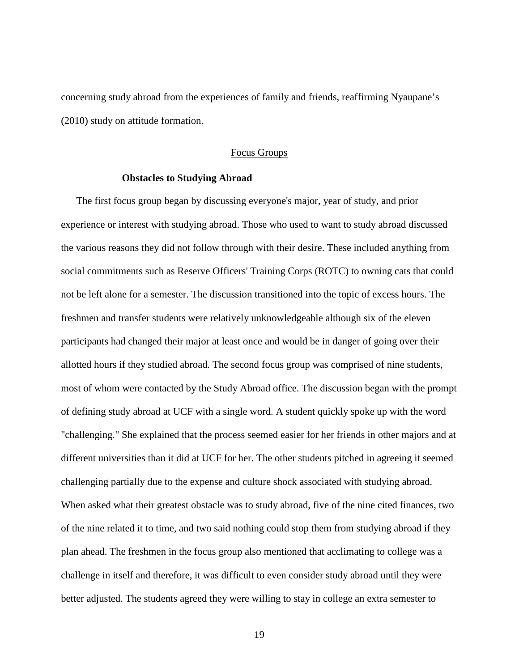concerning study abroad from the experiences of family and friends, reaffirming Nyaupane's (2010) study on attitude formation.

#### Focus Groups

#### **Obstacles to Studying Abroad**

<span id="page-25-1"></span><span id="page-25-0"></span>The first focus group began by discussing everyone's major, year of study, and prior experience or interest with studying abroad. Those who used to want to study abroad discussed the various reasons they did not follow through with their desire. These included anything from social commitments such as Reserve Officers' Training Corps (ROTC) to owning cats that could not be left alone for a semester. The discussion transitioned into the topic of excess hours. The freshmen and transfer students were relatively unknowledgeable although six of the eleven participants had changed their major at least once and would be in danger of going over their allotted hours if they studied abroad. The second focus group was comprised of nine students, most of whom were contacted by the Study Abroad office. The discussion began with the prompt of defining study abroad at UCF with a single word. A student quickly spoke up with the word "challenging." She explained that the process seemed easier for her friends in other majors and at different universities than it did at UCF for her. The other students pitched in agreeing it seemed challenging partially due to the expense and culture shock associated with studying abroad. When asked what their greatest obstacle was to study abroad, five of the nine cited finances, two of the nine related it to time, and two said nothing could stop them from studying abroad if they plan ahead. The freshmen in the focus group also mentioned that acclimating to college was a challenge in itself and therefore, it was difficult to even consider study abroad until they were better adjusted. The students agreed they were willing to stay in college an extra semester to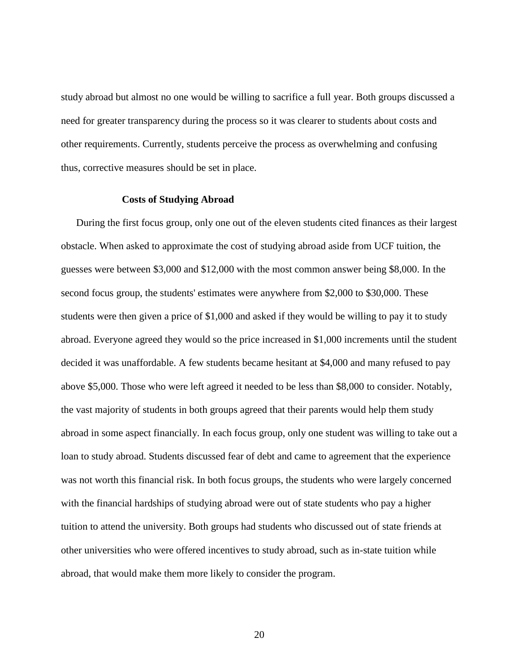study abroad but almost no one would be willing to sacrifice a full year. Both groups discussed a need for greater transparency during the process so it was clearer to students about costs and other requirements. Currently, students perceive the process as overwhelming and confusing thus, corrective measures should be set in place.

#### **Costs of Studying Abroad**

<span id="page-26-0"></span>During the first focus group, only one out of the eleven students cited finances as their largest obstacle. When asked to approximate the cost of studying abroad aside from UCF tuition, the guesses were between \$3,000 and \$12,000 with the most common answer being \$8,000. In the second focus group, the students' estimates were anywhere from \$2,000 to \$30,000. These students were then given a price of \$1,000 and asked if they would be willing to pay it to study abroad. Everyone agreed they would so the price increased in \$1,000 increments until the student decided it was unaffordable. A few students became hesitant at \$4,000 and many refused to pay above \$5,000. Those who were left agreed it needed to be less than \$8,000 to consider. Notably, the vast majority of students in both groups agreed that their parents would help them study abroad in some aspect financially. In each focus group, only one student was willing to take out a loan to study abroad. Students discussed fear of debt and came to agreement that the experience was not worth this financial risk. In both focus groups, the students who were largely concerned with the financial hardships of studying abroad were out of state students who pay a higher tuition to attend the university. Both groups had students who discussed out of state friends at other universities who were offered incentives to study abroad, such as in-state tuition while abroad, that would make them more likely to consider the program.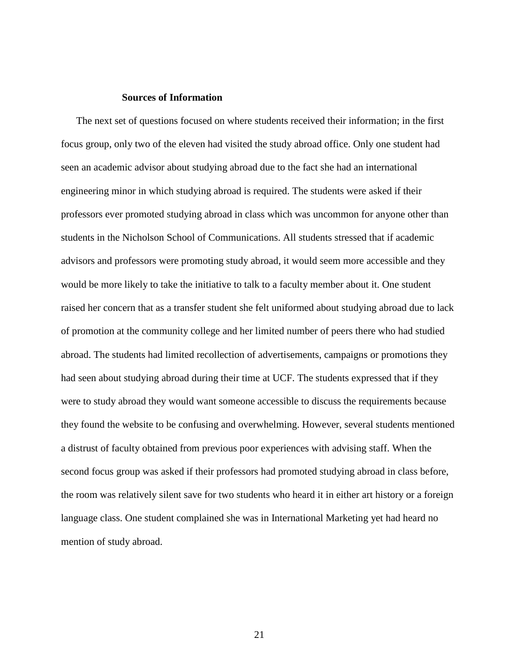#### **Sources of Information**

<span id="page-27-0"></span>The next set of questions focused on where students received their information; in the first focus group, only two of the eleven had visited the study abroad office. Only one student had seen an academic advisor about studying abroad due to the fact she had an international engineering minor in which studying abroad is required. The students were asked if their professors ever promoted studying abroad in class which was uncommon for anyone other than students in the Nicholson School of Communications. All students stressed that if academic advisors and professors were promoting study abroad, it would seem more accessible and they would be more likely to take the initiative to talk to a faculty member about it. One student raised her concern that as a transfer student she felt uniformed about studying abroad due to lack of promotion at the community college and her limited number of peers there who had studied abroad. The students had limited recollection of advertisements, campaigns or promotions they had seen about studying abroad during their time at UCF. The students expressed that if they were to study abroad they would want someone accessible to discuss the requirements because they found the website to be confusing and overwhelming. However, several students mentioned a distrust of faculty obtained from previous poor experiences with advising staff. When the second focus group was asked if their professors had promoted studying abroad in class before, the room was relatively silent save for two students who heard it in either art history or a foreign language class. One student complained she was in International Marketing yet had heard no mention of study abroad.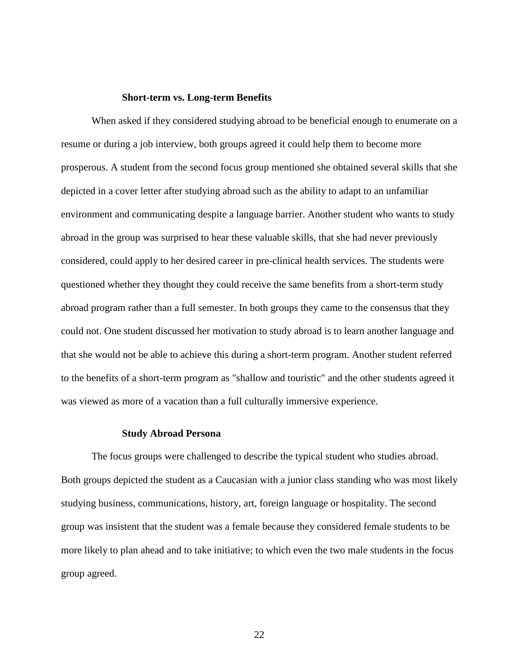#### **Short-term vs. Long-term Benefits**

<span id="page-28-0"></span>When asked if they considered studying abroad to be beneficial enough to enumerate on a resume or during a job interview, both groups agreed it could help them to become more prosperous. A student from the second focus group mentioned she obtained several skills that she depicted in a cover letter after studying abroad such as the ability to adapt to an unfamiliar environment and communicating despite a language barrier. Another student who wants to study abroad in the group was surprised to hear these valuable skills, that she had never previously considered, could apply to her desired career in pre-clinical health services. The students were questioned whether they thought they could receive the same benefits from a short-term study abroad program rather than a full semester. In both groups they came to the consensus that they could not. One student discussed her motivation to study abroad is to learn another language and that she would not be able to achieve this during a short-term program. Another student referred to the benefits of a short-term program as "shallow and touristic" and the other students agreed it was viewed as more of a vacation than a full culturally immersive experience.

#### **Study Abroad Persona**

<span id="page-28-1"></span>The focus groups were challenged to describe the typical student who studies abroad. Both groups depicted the student as a Caucasian with a junior class standing who was most likely studying business, communications, history, art, foreign language or hospitality. The second group was insistent that the student was a female because they considered female students to be more likely to plan ahead and to take initiative; to which even the two male students in the focus group agreed.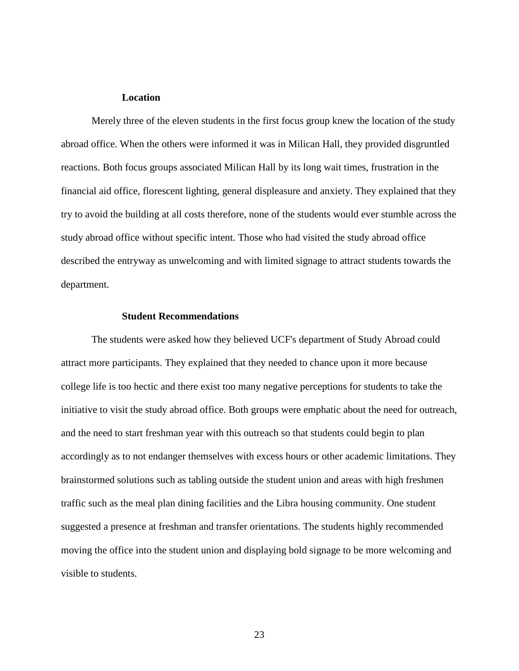#### **Location**

<span id="page-29-0"></span>Merely three of the eleven students in the first focus group knew the location of the study abroad office. When the others were informed it was in Milican Hall, they provided disgruntled reactions. Both focus groups associated Milican Hall by its long wait times, frustration in the financial aid office, florescent lighting, general displeasure and anxiety. They explained that they try to avoid the building at all costs therefore, none of the students would ever stumble across the study abroad office without specific intent. Those who had visited the study abroad office described the entryway as unwelcoming and with limited signage to attract students towards the department.

#### **Student Recommendations**

<span id="page-29-1"></span>The students were asked how they believed UCF's department of Study Abroad could attract more participants. They explained that they needed to chance upon it more because college life is too hectic and there exist too many negative perceptions for students to take the initiative to visit the study abroad office. Both groups were emphatic about the need for outreach, and the need to start freshman year with this outreach so that students could begin to plan accordingly as to not endanger themselves with excess hours or other academic limitations. They brainstormed solutions such as tabling outside the student union and areas with high freshmen traffic such as the meal plan dining facilities and the Libra housing community. One student suggested a presence at freshman and transfer orientations. The students highly recommended moving the office into the student union and displaying bold signage to be more welcoming and visible to students.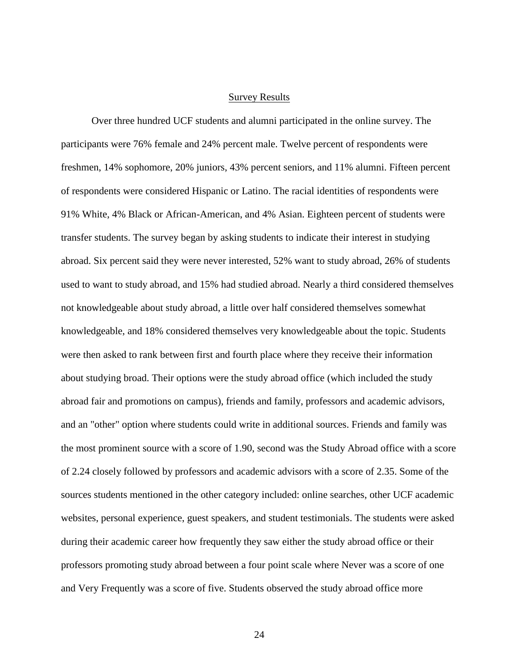#### Survey Results

<span id="page-30-0"></span>Over three hundred UCF students and alumni participated in the online survey. The participants were 76% female and 24% percent male. Twelve percent of respondents were freshmen, 14% sophomore, 20% juniors, 43% percent seniors, and 11% alumni. Fifteen percent of respondents were considered Hispanic or Latino. The racial identities of respondents were 91% White, 4% Black or African-American, and 4% Asian. Eighteen percent of students were transfer students. The survey began by asking students to indicate their interest in studying abroad. Six percent said they were never interested, 52% want to study abroad, 26% of students used to want to study abroad, and 15% had studied abroad. Nearly a third considered themselves not knowledgeable about study abroad, a little over half considered themselves somewhat knowledgeable, and 18% considered themselves very knowledgeable about the topic. Students were then asked to rank between first and fourth place where they receive their information about studying broad. Their options were the study abroad office (which included the study abroad fair and promotions on campus), friends and family, professors and academic advisors, and an "other" option where students could write in additional sources. Friends and family was the most prominent source with a score of 1.90, second was the Study Abroad office with a score of 2.24 closely followed by professors and academic advisors with a score of 2.35. Some of the sources students mentioned in the other category included: online searches, other UCF academic websites, personal experience, guest speakers, and student testimonials. The students were asked during their academic career how frequently they saw either the study abroad office or their professors promoting study abroad between a four point scale where Never was a score of one and Very Frequently was a score of five. Students observed the study abroad office more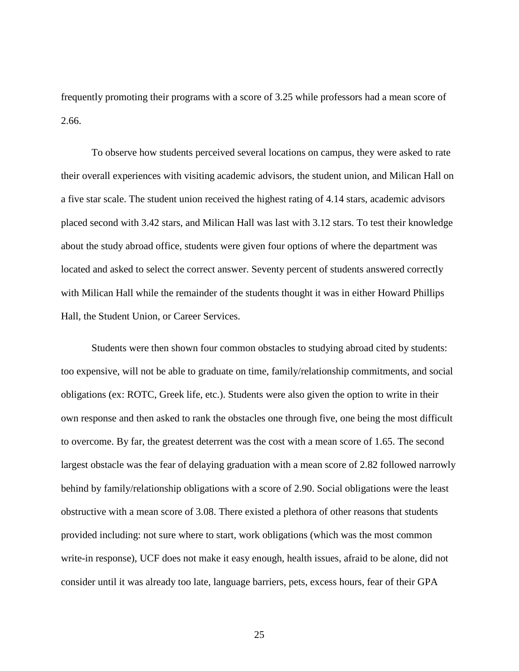frequently promoting their programs with a score of 3.25 while professors had a mean score of 2.66.

To observe how students perceived several locations on campus, they were asked to rate their overall experiences with visiting academic advisors, the student union, and Milican Hall on a five star scale. The student union received the highest rating of 4.14 stars, academic advisors placed second with 3.42 stars, and Milican Hall was last with 3.12 stars. To test their knowledge about the study abroad office, students were given four options of where the department was located and asked to select the correct answer. Seventy percent of students answered correctly with Milican Hall while the remainder of the students thought it was in either Howard Phillips Hall, the Student Union, or Career Services.

Students were then shown four common obstacles to studying abroad cited by students: too expensive, will not be able to graduate on time, family/relationship commitments, and social obligations (ex: ROTC, Greek life, etc.). Students were also given the option to write in their own response and then asked to rank the obstacles one through five, one being the most difficult to overcome. By far, the greatest deterrent was the cost with a mean score of 1.65. The second largest obstacle was the fear of delaying graduation with a mean score of 2.82 followed narrowly behind by family/relationship obligations with a score of 2.90. Social obligations were the least obstructive with a mean score of 3.08. There existed a plethora of other reasons that students provided including: not sure where to start, work obligations (which was the most common write-in response), UCF does not make it easy enough, health issues, afraid to be alone, did not consider until it was already too late, language barriers, pets, excess hours, fear of their GPA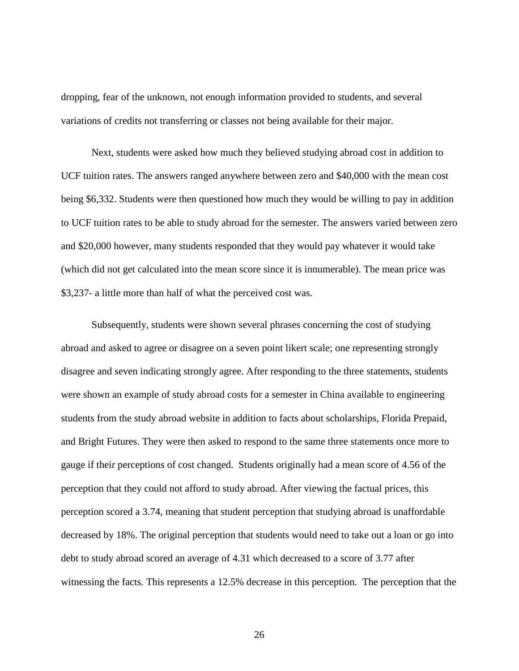dropping, fear of the unknown, not enough information provided to students, and several variations of credits not transferring or classes not being available for their major.

Next, students were asked how much they believed studying abroad cost in addition to UCF tuition rates. The answers ranged anywhere between zero and \$40,000 with the mean cost being \$6,332. Students were then questioned how much they would be willing to pay in addition to UCF tuition rates to be able to study abroad for the semester. The answers varied between zero and \$20,000 however, many students responded that they would pay whatever it would take (which did not get calculated into the mean score since it is innumerable). The mean price was \$3,237- a little more than half of what the perceived cost was.

Subsequently, students were shown several phrases concerning the cost of studying abroad and asked to agree or disagree on a seven point likert scale; one representing strongly disagree and seven indicating strongly agree. After responding to the three statements, students were shown an example of study abroad costs for a semester in China available to engineering students from the study abroad website in addition to facts about scholarships, Florida Prepaid, and Bright Futures. They were then asked to respond to the same three statements once more to gauge if their perceptions of cost changed. Students originally had a mean score of 4.56 of the perception that they could not afford to study abroad. After viewing the factual prices, this perception scored a 3.74, meaning that student perception that studying abroad is unaffordable decreased by 18%. The original perception that students would need to take out a loan or go into debt to study abroad scored an average of 4.31 which decreased to a score of 3.77 after witnessing the facts. This represents a 12.5% decrease in this perception. The perception that the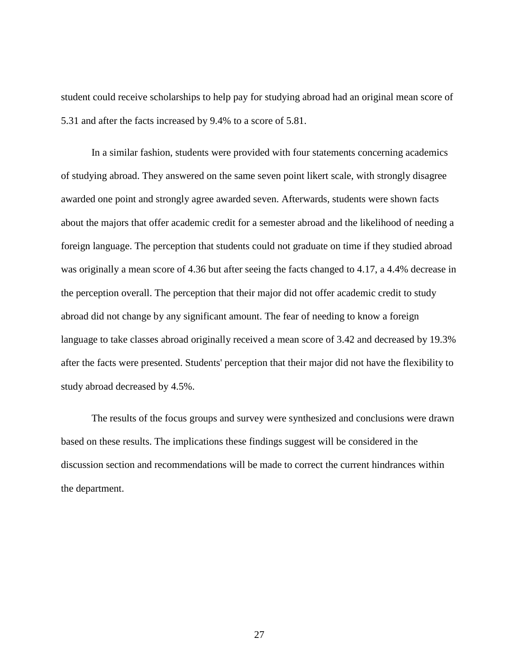student could receive scholarships to help pay for studying abroad had an original mean score of 5.31 and after the facts increased by 9.4% to a score of 5.81.

In a similar fashion, students were provided with four statements concerning academics of studying abroad. They answered on the same seven point likert scale, with strongly disagree awarded one point and strongly agree awarded seven. Afterwards, students were shown facts about the majors that offer academic credit for a semester abroad and the likelihood of needing a foreign language. The perception that students could not graduate on time if they studied abroad was originally a mean score of 4.36 but after seeing the facts changed to 4.17, a 4.4% decrease in the perception overall. The perception that their major did not offer academic credit to study abroad did not change by any significant amount. The fear of needing to know a foreign language to take classes abroad originally received a mean score of 3.42 and decreased by 19.3% after the facts were presented. Students' perception that their major did not have the flexibility to study abroad decreased by 4.5%.

The results of the focus groups and survey were synthesized and conclusions were drawn based on these results. The implications these findings suggest will be considered in the discussion section and recommendations will be made to correct the current hindrances within the department.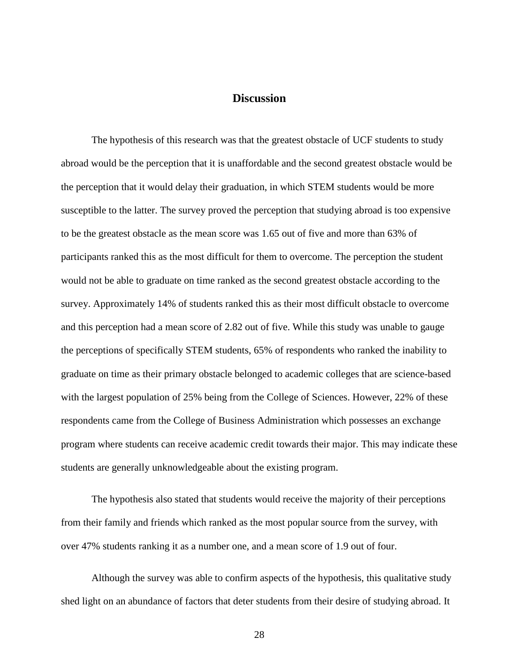# **Discussion**

<span id="page-34-0"></span>The hypothesis of this research was that the greatest obstacle of UCF students to study abroad would be the perception that it is unaffordable and the second greatest obstacle would be the perception that it would delay their graduation, in which STEM students would be more susceptible to the latter. The survey proved the perception that studying abroad is too expensive to be the greatest obstacle as the mean score was 1.65 out of five and more than 63% of participants ranked this as the most difficult for them to overcome. The perception the student would not be able to graduate on time ranked as the second greatest obstacle according to the survey. Approximately 14% of students ranked this as their most difficult obstacle to overcome and this perception had a mean score of 2.82 out of five. While this study was unable to gauge the perceptions of specifically STEM students, 65% of respondents who ranked the inability to graduate on time as their primary obstacle belonged to academic colleges that are science-based with the largest population of 25% being from the College of Sciences. However, 22% of these respondents came from the College of Business Administration which possesses an exchange program where students can receive academic credit towards their major. This may indicate these students are generally unknowledgeable about the existing program.

The hypothesis also stated that students would receive the majority of their perceptions from their family and friends which ranked as the most popular source from the survey, with over 47% students ranking it as a number one, and a mean score of 1.9 out of four.

Although the survey was able to confirm aspects of the hypothesis, this qualitative study shed light on an abundance of factors that deter students from their desire of studying abroad. It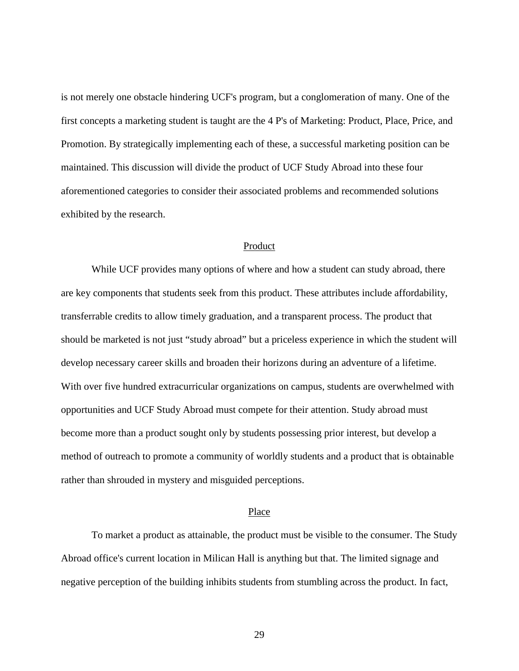is not merely one obstacle hindering UCF's program, but a conglomeration of many. One of the first concepts a marketing student is taught are the 4 P's of Marketing: Product, Place, Price, and Promotion. By strategically implementing each of these, a successful marketing position can be maintained. This discussion will divide the product of UCF Study Abroad into these four aforementioned categories to consider their associated problems and recommended solutions exhibited by the research.

#### Product

<span id="page-35-0"></span>While UCF provides many options of where and how a student can study abroad, there are key components that students seek from this product. These attributes include affordability, transferrable credits to allow timely graduation, and a transparent process. The product that should be marketed is not just "study abroad" but a priceless experience in which the student will develop necessary career skills and broaden their horizons during an adventure of a lifetime. With over five hundred extracurricular organizations on campus, students are overwhelmed with opportunities and UCF Study Abroad must compete for their attention. Study abroad must become more than a product sought only by students possessing prior interest, but develop a method of outreach to promote a community of worldly students and a product that is obtainable rather than shrouded in mystery and misguided perceptions.

#### Place

<span id="page-35-1"></span>To market a product as attainable, the product must be visible to the consumer. The Study Abroad office's current location in Milican Hall is anything but that. The limited signage and negative perception of the building inhibits students from stumbling across the product. In fact,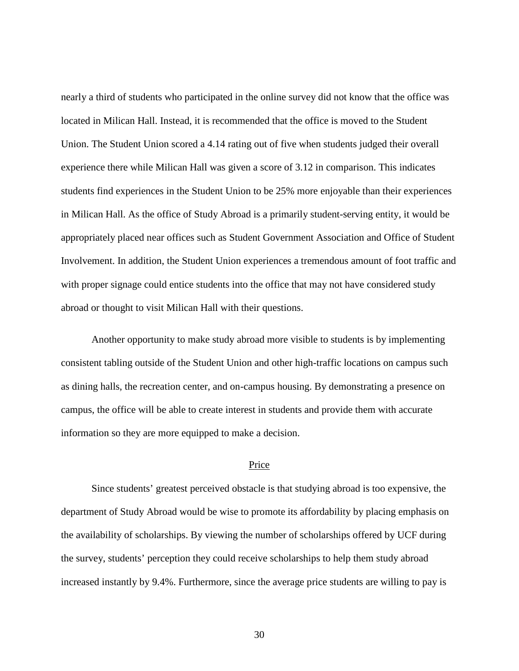nearly a third of students who participated in the online survey did not know that the office was located in Milican Hall. Instead, it is recommended that the office is moved to the Student Union. The Student Union scored a 4.14 rating out of five when students judged their overall experience there while Milican Hall was given a score of 3.12 in comparison. This indicates students find experiences in the Student Union to be 25% more enjoyable than their experiences in Milican Hall. As the office of Study Abroad is a primarily student-serving entity, it would be appropriately placed near offices such as Student Government Association and Office of Student Involvement. In addition, the Student Union experiences a tremendous amount of foot traffic and with proper signage could entice students into the office that may not have considered study abroad or thought to visit Milican Hall with their questions.

Another opportunity to make study abroad more visible to students is by implementing consistent tabling outside of the Student Union and other high-traffic locations on campus such as dining halls, the recreation center, and on-campus housing. By demonstrating a presence on campus, the office will be able to create interest in students and provide them with accurate information so they are more equipped to make a decision.

#### Price

<span id="page-36-0"></span>Since students' greatest perceived obstacle is that studying abroad is too expensive, the department of Study Abroad would be wise to promote its affordability by placing emphasis on the availability of scholarships. By viewing the number of scholarships offered by UCF during the survey, students' perception they could receive scholarships to help them study abroad increased instantly by 9.4%. Furthermore, since the average price students are willing to pay is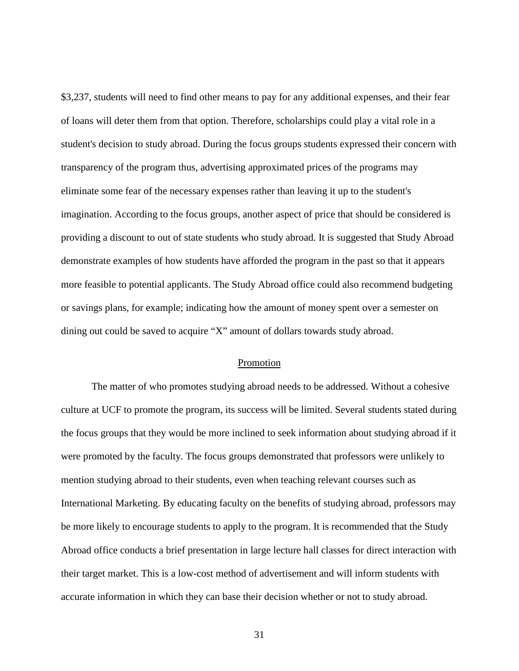\$3,237, students will need to find other means to pay for any additional expenses, and their fear of loans will deter them from that option. Therefore, scholarships could play a vital role in a student's decision to study abroad. During the focus groups students expressed their concern with transparency of the program thus, advertising approximated prices of the programs may eliminate some fear of the necessary expenses rather than leaving it up to the student's imagination. According to the focus groups, another aspect of price that should be considered is providing a discount to out of state students who study abroad. It is suggested that Study Abroad demonstrate examples of how students have afforded the program in the past so that it appears more feasible to potential applicants. The Study Abroad office could also recommend budgeting or savings plans, for example; indicating how the amount of money spent over a semester on dining out could be saved to acquire "X" amount of dollars towards study abroad.

#### Promotion

<span id="page-37-0"></span>The matter of who promotes studying abroad needs to be addressed. Without a cohesive culture at UCF to promote the program, its success will be limited. Several students stated during the focus groups that they would be more inclined to seek information about studying abroad if it were promoted by the faculty. The focus groups demonstrated that professors were unlikely to mention studying abroad to their students, even when teaching relevant courses such as International Marketing. By educating faculty on the benefits of studying abroad, professors may be more likely to encourage students to apply to the program. It is recommended that the Study Abroad office conducts a brief presentation in large lecture hall classes for direct interaction with their target market. This is a low-cost method of advertisement and will inform students with accurate information in which they can base their decision whether or not to study abroad.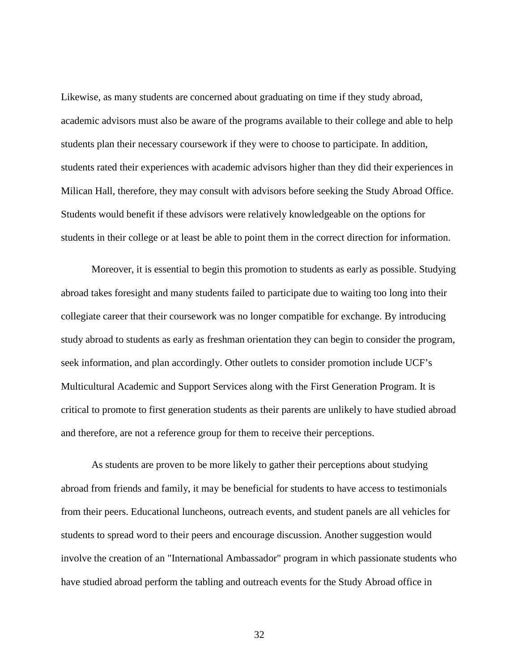Likewise, as many students are concerned about graduating on time if they study abroad, academic advisors must also be aware of the programs available to their college and able to help students plan their necessary coursework if they were to choose to participate. In addition, students rated their experiences with academic advisors higher than they did their experiences in Milican Hall, therefore, they may consult with advisors before seeking the Study Abroad Office. Students would benefit if these advisors were relatively knowledgeable on the options for students in their college or at least be able to point them in the correct direction for information.

Moreover, it is essential to begin this promotion to students as early as possible. Studying abroad takes foresight and many students failed to participate due to waiting too long into their collegiate career that their coursework was no longer compatible for exchange. By introducing study abroad to students as early as freshman orientation they can begin to consider the program, seek information, and plan accordingly. Other outlets to consider promotion include UCF's Multicultural Academic and Support Services along with the First Generation Program. It is critical to promote to first generation students as their parents are unlikely to have studied abroad and therefore, are not a reference group for them to receive their perceptions.

As students are proven to be more likely to gather their perceptions about studying abroad from friends and family, it may be beneficial for students to have access to testimonials from their peers. Educational luncheons, outreach events, and student panels are all vehicles for students to spread word to their peers and encourage discussion. Another suggestion would involve the creation of an "International Ambassador" program in which passionate students who have studied abroad perform the tabling and outreach events for the Study Abroad office in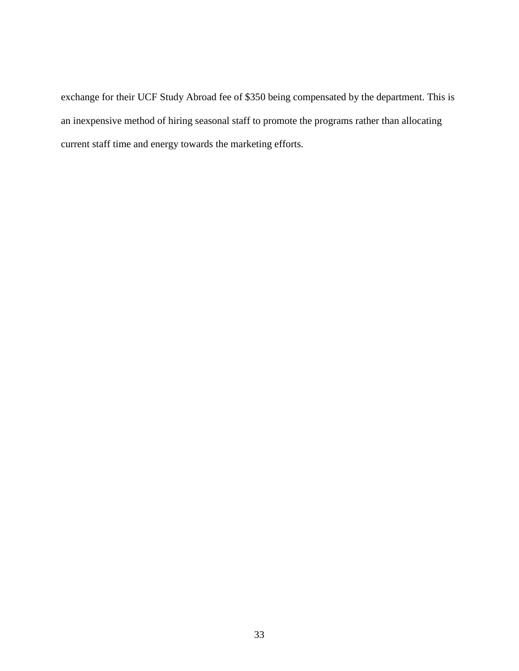exchange for their UCF Study Abroad fee of \$350 being compensated by the department. This is an inexpensive method of hiring seasonal staff to promote the programs rather than allocating current staff time and energy towards the marketing efforts.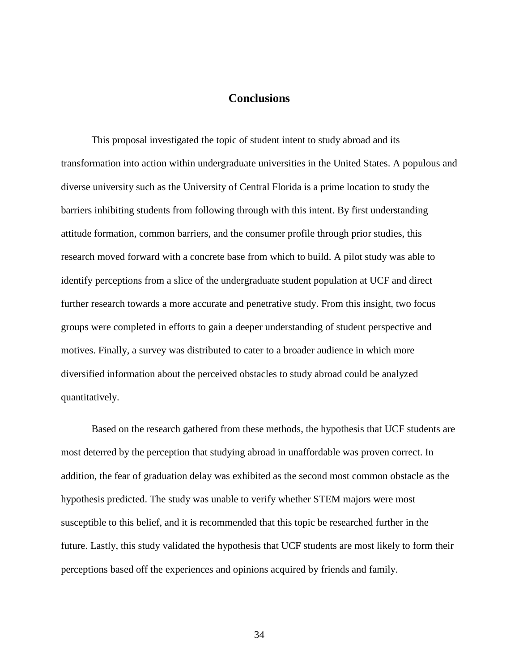# **Conclusions**

<span id="page-40-0"></span>This proposal investigated the topic of student intent to study abroad and its transformation into action within undergraduate universities in the United States. A populous and diverse university such as the University of Central Florida is a prime location to study the barriers inhibiting students from following through with this intent. By first understanding attitude formation, common barriers, and the consumer profile through prior studies, this research moved forward with a concrete base from which to build. A pilot study was able to identify perceptions from a slice of the undergraduate student population at UCF and direct further research towards a more accurate and penetrative study. From this insight, two focus groups were completed in efforts to gain a deeper understanding of student perspective and motives. Finally, a survey was distributed to cater to a broader audience in which more diversified information about the perceived obstacles to study abroad could be analyzed quantitatively.

Based on the research gathered from these methods, the hypothesis that UCF students are most deterred by the perception that studying abroad in unaffordable was proven correct. In addition, the fear of graduation delay was exhibited as the second most common obstacle as the hypothesis predicted. The study was unable to verify whether STEM majors were most susceptible to this belief, and it is recommended that this topic be researched further in the future. Lastly, this study validated the hypothesis that UCF students are most likely to form their perceptions based off the experiences and opinions acquired by friends and family.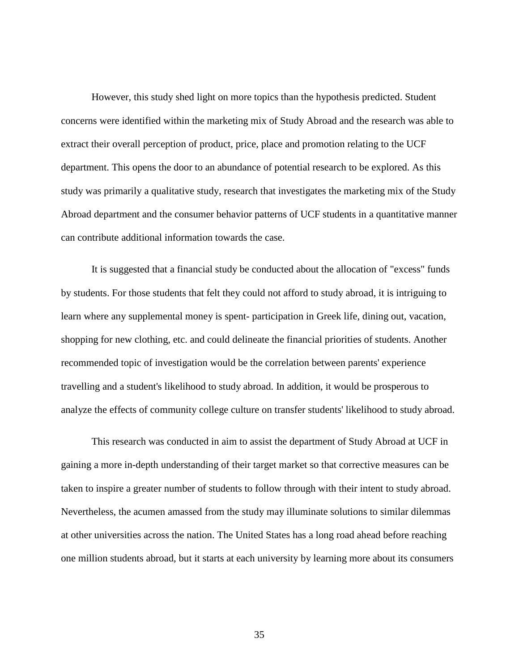However, this study shed light on more topics than the hypothesis predicted. Student concerns were identified within the marketing mix of Study Abroad and the research was able to extract their overall perception of product, price, place and promotion relating to the UCF department. This opens the door to an abundance of potential research to be explored. As this study was primarily a qualitative study, research that investigates the marketing mix of the Study Abroad department and the consumer behavior patterns of UCF students in a quantitative manner can contribute additional information towards the case.

It is suggested that a financial study be conducted about the allocation of "excess" funds by students. For those students that felt they could not afford to study abroad, it is intriguing to learn where any supplemental money is spent- participation in Greek life, dining out, vacation, shopping for new clothing, etc. and could delineate the financial priorities of students. Another recommended topic of investigation would be the correlation between parents' experience travelling and a student's likelihood to study abroad. In addition, it would be prosperous to analyze the effects of community college culture on transfer students' likelihood to study abroad.

This research was conducted in aim to assist the department of Study Abroad at UCF in gaining a more in-depth understanding of their target market so that corrective measures can be taken to inspire a greater number of students to follow through with their intent to study abroad. Nevertheless, the acumen amassed from the study may illuminate solutions to similar dilemmas at other universities across the nation. The United States has a long road ahead before reaching one million students abroad, but it starts at each university by learning more about its consumers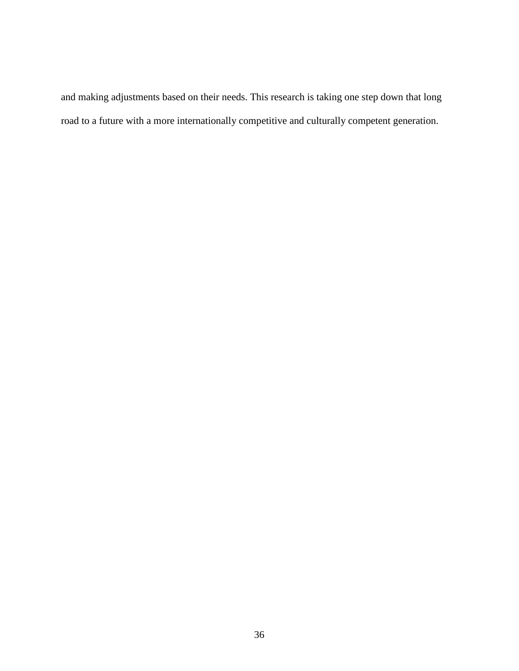and making adjustments based on their needs. This research is taking one step down that long road to a future with a more internationally competitive and culturally competent generation.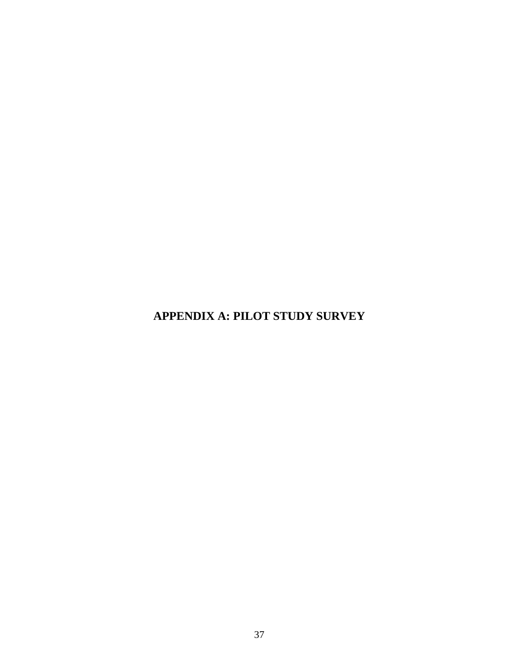**APPENDIX A: PILOT STUDY SURVEY**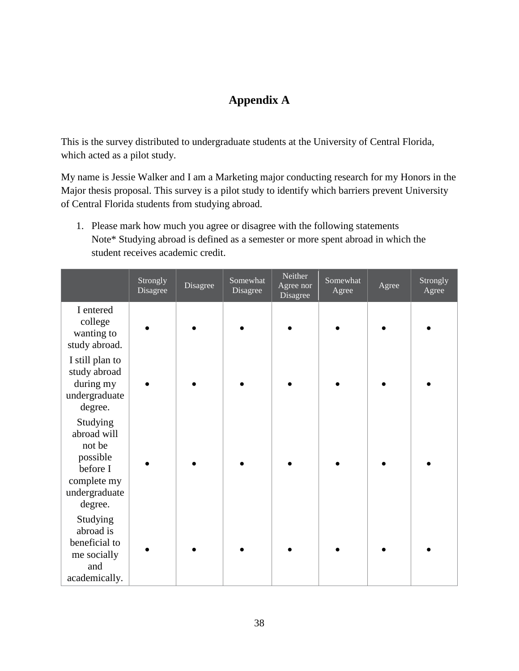# **Appendix A**

<span id="page-44-0"></span>This is the survey distributed to undergraduate students at the University of Central Florida, which acted as a pilot study.

My name is Jessie Walker and I am a Marketing major conducting research for my Honors in the Major thesis proposal. This survey is a pilot study to identify which barriers prevent University of Central Florida students from studying abroad.

1. Please mark how much you agree or disagree with the following statements Note\* Studying abroad is defined as a semester or more spent abroad in which the student receives academic credit.

|                                                                                                      | Strongly<br>Disagree | Disagree | Somewhat<br>Disagree | Neither<br>Agree nor<br>Disagree | Somewhat<br>Agree | Agree | Strongly<br>Agree |
|------------------------------------------------------------------------------------------------------|----------------------|----------|----------------------|----------------------------------|-------------------|-------|-------------------|
| I entered<br>college<br>wanting to<br>study abroad.                                                  |                      |          |                      |                                  |                   |       |                   |
| I still plan to<br>study abroad<br>during my<br>undergraduate<br>degree.                             |                      |          |                      |                                  |                   |       |                   |
| Studying<br>abroad will<br>not be<br>possible<br>before I<br>complete my<br>undergraduate<br>degree. |                      |          |                      |                                  |                   |       |                   |
| Studying<br>abroad is<br>beneficial to<br>me socially<br>and<br>academically.                        |                      |          |                      |                                  |                   |       |                   |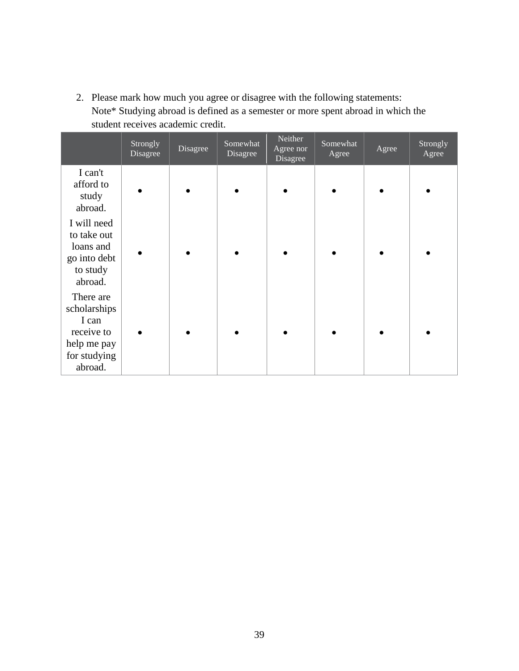2. Please mark how much you agree or disagree with the following statements: Note\* Studying abroad is defined as a semester or more spent abroad in which the student receives academic credit.

|                                                                                            | Strongly<br>Disagree | Disagree | Somewhat<br>Disagree | Neither<br>Agree nor<br>Disagree | Somewhat<br>Agree | Agree | Strongly<br>Agree |
|--------------------------------------------------------------------------------------------|----------------------|----------|----------------------|----------------------------------|-------------------|-------|-------------------|
| I can't<br>afford to<br>study<br>abroad.                                                   |                      |          |                      |                                  |                   |       |                   |
| I will need<br>to take out<br>loans and<br>go into debt<br>to study<br>abroad.             |                      |          |                      |                                  |                   |       |                   |
| There are<br>scholarships<br>I can<br>receive to<br>help me pay<br>for studying<br>abroad. |                      |          |                      |                                  |                   |       |                   |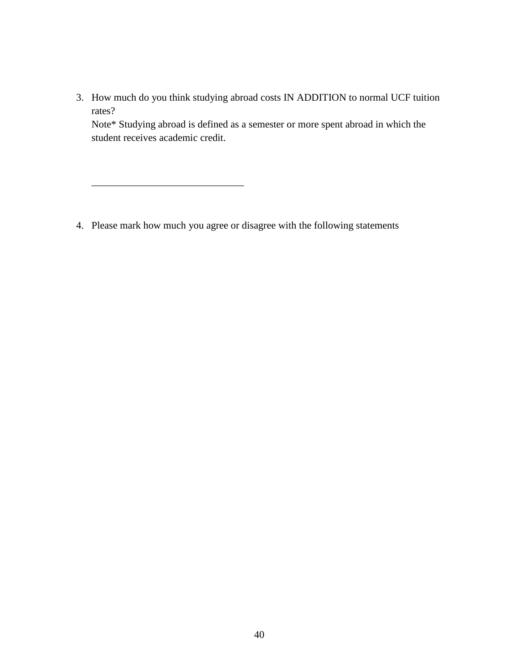3. How much do you think studying abroad costs IN ADDITION to normal UCF tuition rates?

Note\* Studying abroad is defined as a semester or more spent abroad in which the student receives academic credit.

4. Please mark how much you agree or disagree with the following statements

\_\_\_\_\_\_\_\_\_\_\_\_\_\_\_\_\_\_\_\_\_\_\_\_\_\_\_\_\_\_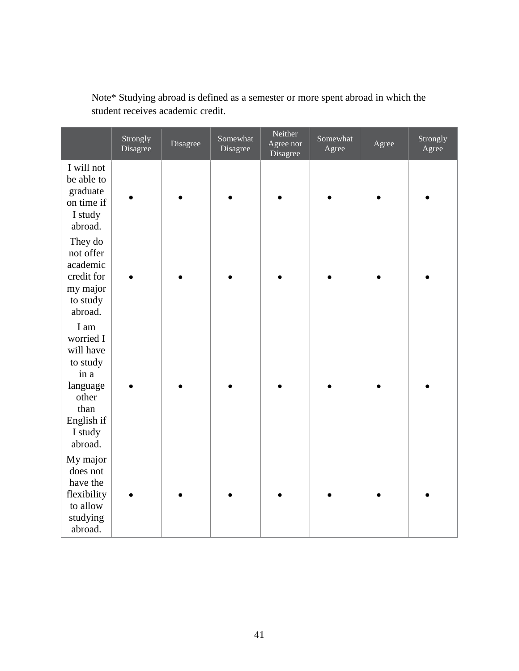| Note* Studying abroad is defined as a semester or more spent abroad in which the |  |
|----------------------------------------------------------------------------------|--|
| student receives academic credit.                                                |  |

|                                                                                   | Strongly<br>Disagree | Disagree | Somewhat<br>Disagree | Neither<br>Agree nor<br>Disagree | Somewhat<br>Agree | Agree | Strongly<br>Agree |
|-----------------------------------------------------------------------------------|----------------------|----------|----------------------|----------------------------------|-------------------|-------|-------------------|
| I will not<br>be able to<br>graduate<br>on time if<br>I study<br>abroad.          |                      |          |                      |                                  |                   |       |                   |
| They do<br>not offer<br>academic<br>credit for<br>my major<br>to study<br>abroad. |                      |          |                      |                                  |                   |       |                   |
| I am<br>worried I<br>will have<br>to study<br>in a<br>language                    |                      |          |                      |                                  |                   |       |                   |
| other<br>than<br>English if<br>I study<br>abroad.                                 |                      |          |                      |                                  |                   |       |                   |
| My major<br>does not<br>have the                                                  |                      |          |                      |                                  |                   |       |                   |
| flexibility<br>to allow<br>studying<br>abroad.                                    |                      |          |                      |                                  |                   |       |                   |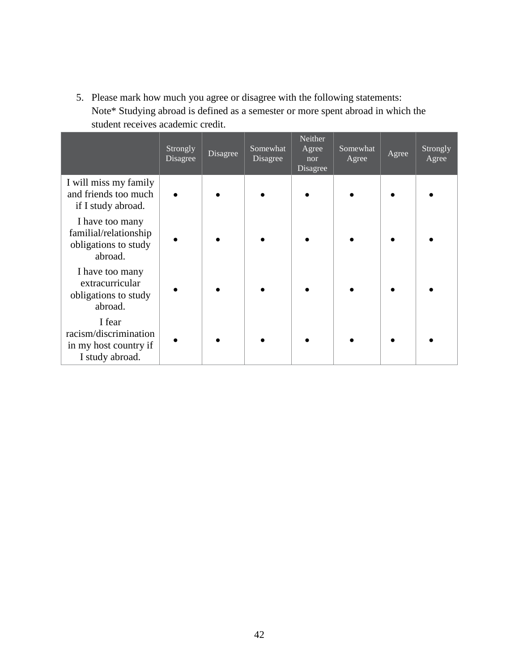5. Please mark how much you agree or disagree with the following statements: Note\* Studying abroad is defined as a semester or more spent abroad in which the student receives academic credit.

|                                                                             | Strongly<br>Disagree | Disagree | Somewhat<br>Disagree | Neither<br>Agree<br>nor<br>Disagree | Somewhat<br>Agree | Agree | Strongly<br>Agree |
|-----------------------------------------------------------------------------|----------------------|----------|----------------------|-------------------------------------|-------------------|-------|-------------------|
| I will miss my family<br>and friends too much<br>if I study abroad.         |                      |          |                      |                                     |                   |       |                   |
| I have too many<br>familial/relationship<br>obligations to study<br>abroad. |                      |          |                      |                                     |                   |       |                   |
| I have too many<br>extracurricular<br>obligations to study<br>abroad.       |                      |          |                      |                                     |                   |       |                   |
| I fear<br>racism/discrimination<br>in my host country if<br>I study abroad. |                      |          |                      |                                     |                   |       |                   |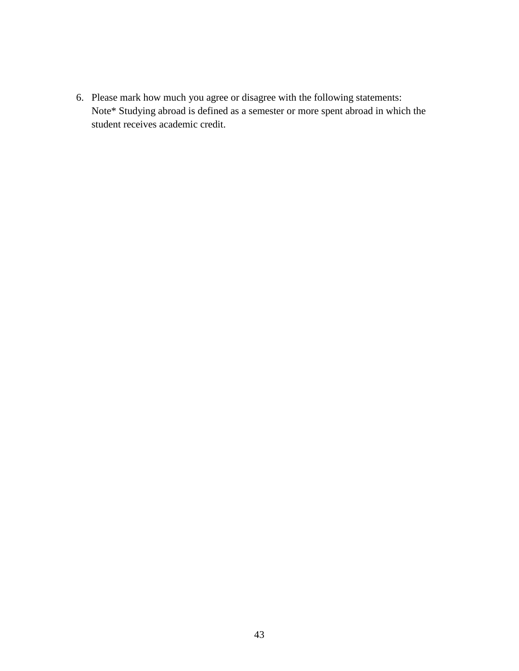6. Please mark how much you agree or disagree with the following statements: Note\* Studying abroad is defined as a semester or more spent abroad in which the student receives academic credit.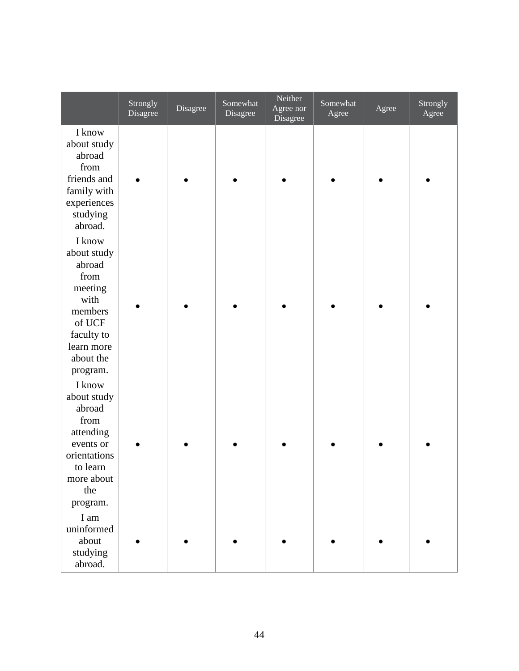|                                                                                                                                      | Strongly<br>Disagree | Disagree | Somewhat<br>Disagree | Neither<br>Agree nor<br>Disagree | Somewhat<br>Agree | Agree | Strongly<br>Agree |
|--------------------------------------------------------------------------------------------------------------------------------------|----------------------|----------|----------------------|----------------------------------|-------------------|-------|-------------------|
| I know<br>about study<br>abroad<br>from<br>friends and<br>family with<br>experiences<br>studying<br>abroad.                          |                      |          |                      |                                  |                   |       |                   |
| I know<br>about study<br>abroad<br>from<br>meeting<br>with<br>members<br>of UCF<br>faculty to<br>learn more<br>about the<br>program. |                      |          |                      |                                  |                   |       |                   |
| I know<br>about study<br>abroad<br>from<br>attending<br>events or<br>orientations<br>to learn<br>more about<br>the<br>program.       |                      |          |                      |                                  |                   |       |                   |
| I am<br>uninformed<br>about<br>studying<br>abroad.                                                                                   |                      |          |                      |                                  |                   |       |                   |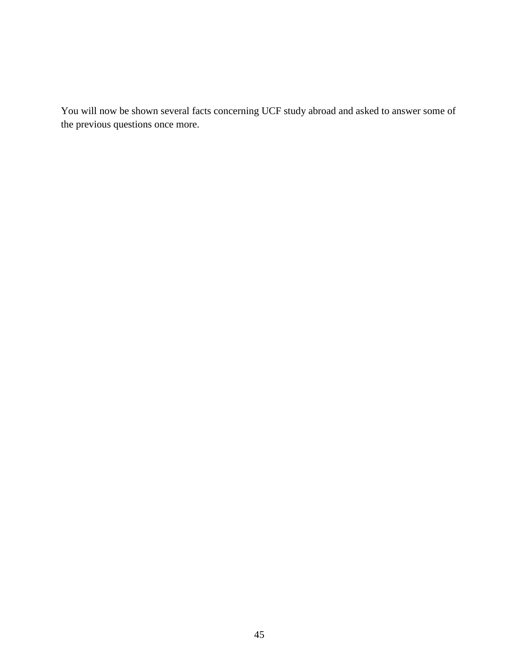You will now be shown several facts concerning UCF study abroad and asked to answer some of the previous questions once more.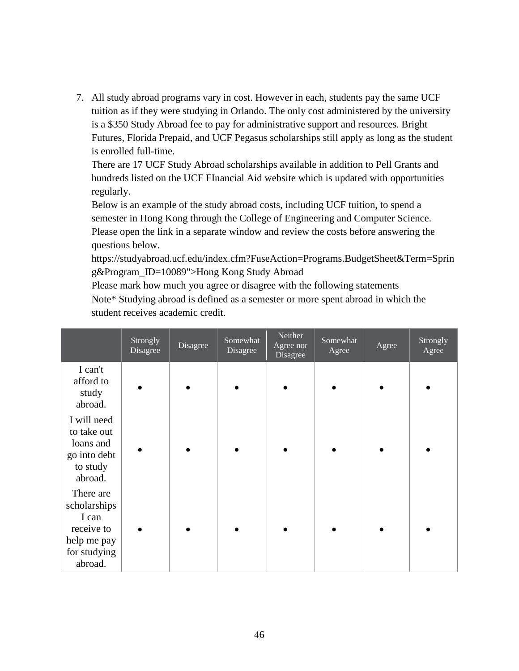7. All study abroad programs vary in cost. However in each, students pay the same UCF tuition as if they were studying in Orlando. The only cost administered by the university is a \$350 Study Abroad fee to pay for administrative support and resources. Bright Futures, Florida Prepaid, and UCF Pegasus scholarships still apply as long as the student is enrolled full-time.

There are 17 UCF Study Abroad scholarships available in addition to Pell Grants and hundreds listed on the UCF FInancial Aid website which is updated with opportunities regularly.

Below is an example of the study abroad costs, including UCF tuition, to spend a semester in Hong Kong through the College of Engineering and Computer Science. Please open the link in a separate window and review the costs before answering the questions below.

https://studyabroad.ucf.edu/index.cfm?FuseAction=Programs.BudgetSheet&Term=Sprin g&Program\_ID=10089">Hong Kong Study Abroad

Please mark how much you agree or disagree with the following statements Note\* Studying abroad is defined as a semester or more spent abroad in which the student receives academic credit.

|                                                                                            | Strongly<br>Disagree | Disagree | Somewhat<br>Disagree | Neither<br>Agree nor<br>Disagree | Somewhat<br>Agree | Agree | Strongly<br>Agree |
|--------------------------------------------------------------------------------------------|----------------------|----------|----------------------|----------------------------------|-------------------|-------|-------------------|
| I can't<br>afford to<br>study<br>abroad.                                                   |                      |          |                      |                                  |                   |       |                   |
| I will need<br>to take out<br>loans and<br>go into debt<br>to study<br>abroad.             |                      |          |                      |                                  |                   |       |                   |
| There are<br>scholarships<br>I can<br>receive to<br>help me pay<br>for studying<br>abroad. |                      |          |                      |                                  |                   |       |                   |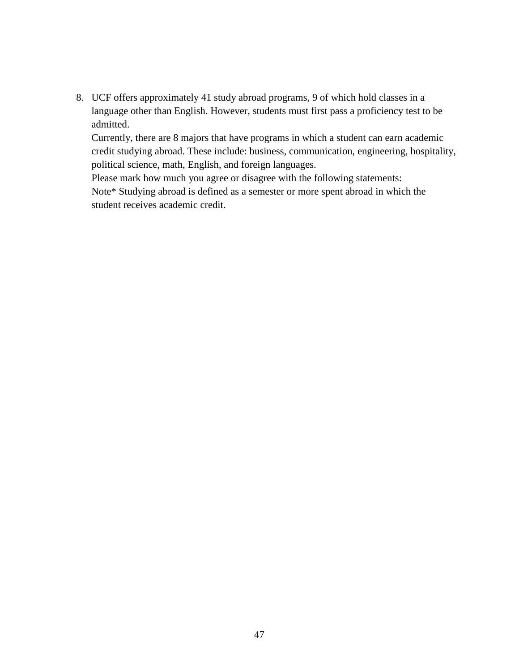8. UCF offers approximately 41 study abroad programs, 9 of which hold classes in a language other than English. However, students must first pass a proficiency test to be admitted.

Currently, there are 8 majors that have programs in which a student can earn academic credit studying abroad. These include: business, communication, engineering, hospitality, political science, math, English, and foreign languages.

Please mark how much you agree or disagree with the following statements:

Note\* Studying abroad is defined as a semester or more spent abroad in which the student receives academic credit.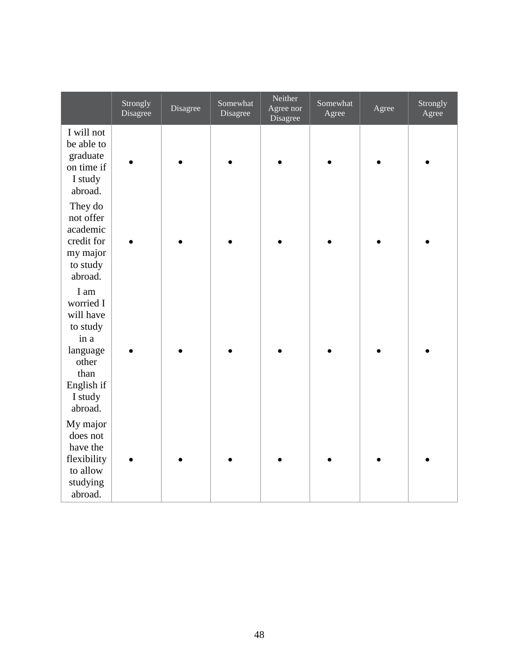|                                                                                                          | Strongly<br>Disagree | Disagree | Somewhat<br>Disagree | Neither<br>Agree nor<br>Disagree | Somewhat<br>Agree | Agree | Strongly<br>Agree |
|----------------------------------------------------------------------------------------------------------|----------------------|----------|----------------------|----------------------------------|-------------------|-------|-------------------|
| I will not<br>be able to<br>graduate<br>on time if<br>I study<br>abroad.                                 |                      |          |                      |                                  |                   |       |                   |
| They do<br>not offer<br>academic<br>credit for<br>my major<br>to study<br>abroad.                        |                      |          |                      |                                  |                   |       |                   |
| I am<br>worried I<br>will have<br>to study<br>in a<br>language<br>other<br>than<br>English if<br>I study |                      |          |                      |                                  |                   |       |                   |
| abroad.<br>My major<br>does not<br>have the<br>flexibility<br>to allow<br>studying<br>abroad.            |                      |          |                      |                                  |                   |       |                   |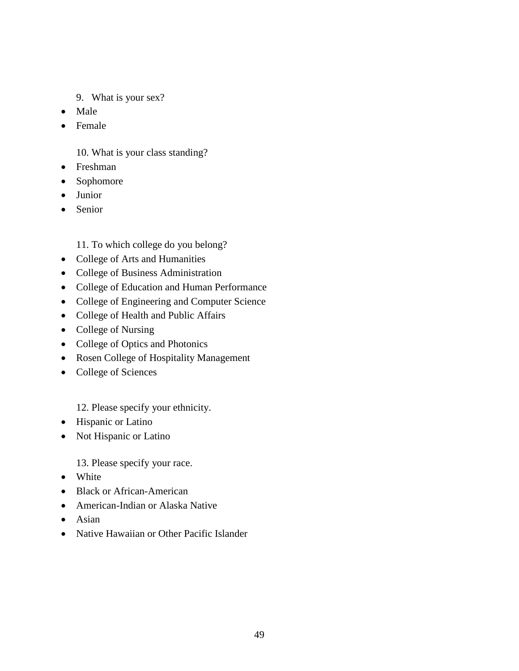- 9. What is your sex?
- Male
- Female

10. What is your class standing?

- Freshman
- Sophomore
- Junior
- Senior

11. To which college do you belong?

- College of Arts and Humanities
- College of Business Administration
- College of Education and Human Performance
- College of Engineering and Computer Science
- College of Health and Public Affairs
- College of Nursing
- College of Optics and Photonics
- Rosen College of Hospitality Management
- College of Sciences

12. Please specify your ethnicity.

- Hispanic or Latino
- Not Hispanic or Latino

13. Please specify your race.

- White
- Black or African-American
- American-Indian or Alaska Native
- Asian
- Native Hawaiian or Other Pacific Islander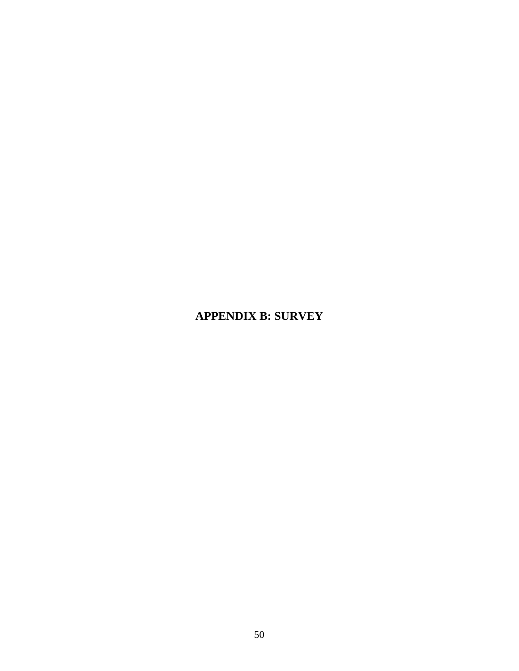# **APPENDIX B: SURVEY**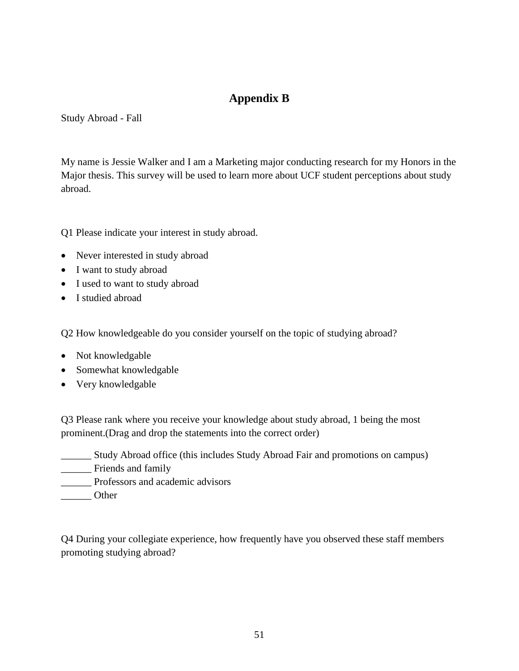# **Appendix B**

<span id="page-57-0"></span>Study Abroad - Fall

My name is Jessie Walker and I am a Marketing major conducting research for my Honors in the Major thesis. This survey will be used to learn more about UCF student perceptions about study abroad.

Q1 Please indicate your interest in study abroad.

- Never interested in study abroad
- I want to study abroad
- I used to want to study abroad
- I studied abroad

Q2 How knowledgeable do you consider yourself on the topic of studying abroad?

- Not knowledgable
- Somewhat knowledgable
- Very knowledgable

Q3 Please rank where you receive your knowledge about study abroad, 1 being the most prominent.(Drag and drop the statements into the correct order)

- \_\_\_\_\_\_ Study Abroad office (this includes Study Abroad Fair and promotions on campus)
- \_\_\_\_\_\_ Friends and family
- \_\_\_\_\_\_ Professors and academic advisors
- Other

Q4 During your collegiate experience, how frequently have you observed these staff members promoting studying abroad?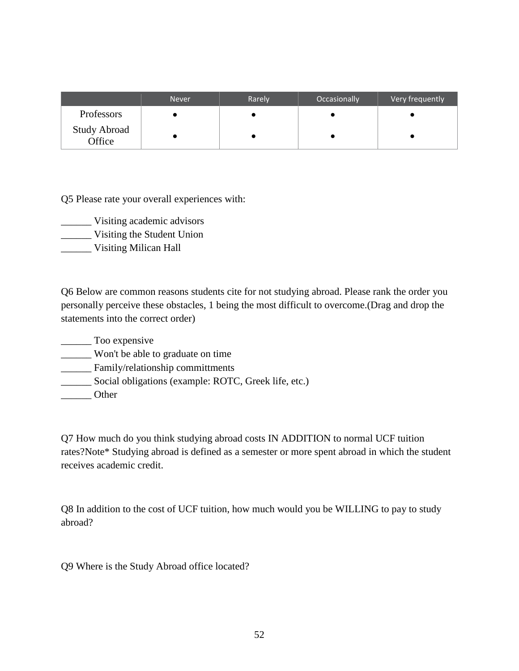|                               | <b>Never</b> | Rarely | Occasionally | Very frequently |
|-------------------------------|--------------|--------|--------------|-----------------|
| Professors                    |              |        |              |                 |
| <b>Study Abroad</b><br>Office |              |        |              |                 |

Q5 Please rate your overall experiences with:

- \_\_\_\_\_\_ Visiting academic advisors
- \_\_\_\_\_\_ Visiting the Student Union
- \_\_\_\_\_\_ Visiting Milican Hall

Q6 Below are common reasons students cite for not studying abroad. Please rank the order you personally perceive these obstacles, 1 being the most difficult to overcome.(Drag and drop the statements into the correct order)

Too expensive \_\_\_\_\_\_ Won't be able to graduate on time \_\_\_\_\_\_ Family/relationship committments \_\_\_\_\_\_ Social obligations (example: ROTC, Greek life, etc.) \_\_\_\_\_\_ Other

Q7 How much do you think studying abroad costs IN ADDITION to normal UCF tuition rates?Note\* Studying abroad is defined as a semester or more spent abroad in which the student receives academic credit.

Q8 In addition to the cost of UCF tuition, how much would you be WILLING to pay to study abroad?

Q9 Where is the Study Abroad office located?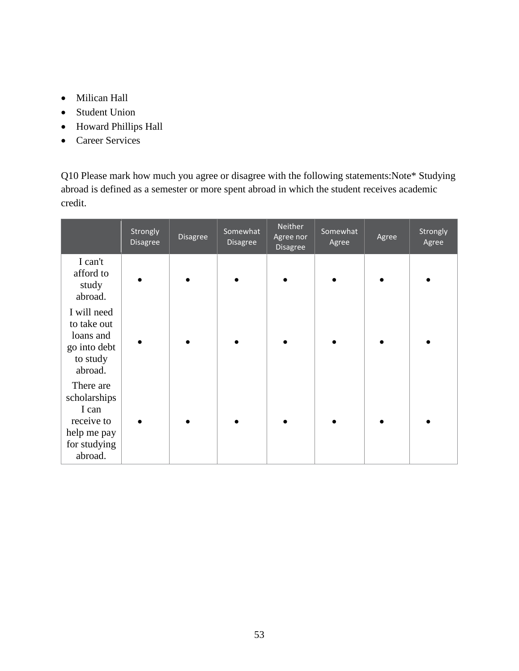- Milican Hall
- Student Union
- Howard Phillips Hall
- Career Services

Q10 Please mark how much you agree or disagree with the following statements:Note\* Studying abroad is defined as a semester or more spent abroad in which the student receives academic credit.

|                                                                                            | Strongly<br>Disagree | Disagree | Somewhat<br>Disagree | Neither<br>Agree nor<br><b>Disagree</b> | Somewhat<br>Agree | Agree | Strongly<br>Agree |
|--------------------------------------------------------------------------------------------|----------------------|----------|----------------------|-----------------------------------------|-------------------|-------|-------------------|
| I can't<br>afford to<br>study<br>abroad.                                                   |                      |          |                      |                                         |                   |       |                   |
| I will need<br>to take out<br>loans and<br>go into debt<br>to study<br>abroad.             |                      |          |                      |                                         |                   |       |                   |
| There are<br>scholarships<br>I can<br>receive to<br>help me pay<br>for studying<br>abroad. |                      |          |                      |                                         |                   |       |                   |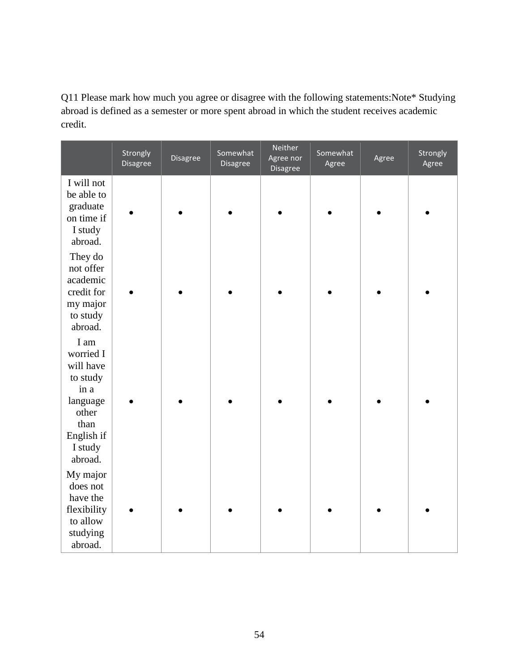Q11 Please mark how much you agree or disagree with the following statements:Note\* Studying abroad is defined as a semester or more spent abroad in which the student receives academic credit.

|                                                                                                                     | Strongly<br>Disagree | Disagree | Somewhat<br>Disagree | Neither<br>Agree nor<br>Disagree | Somewhat<br>Agree | Agree | Strongly<br>Agree |
|---------------------------------------------------------------------------------------------------------------------|----------------------|----------|----------------------|----------------------------------|-------------------|-------|-------------------|
| I will not<br>be able to<br>graduate<br>on time if<br>I study<br>abroad.                                            |                      |          |                      |                                  |                   |       |                   |
| They do<br>not offer<br>academic<br>credit for<br>my major<br>to study<br>abroad.                                   |                      |          |                      |                                  |                   |       |                   |
| I am<br>worried I<br>will have<br>to study<br>in a<br>language<br>other<br>than<br>English if<br>I study<br>abroad. |                      |          |                      |                                  |                   |       |                   |
| My major<br>does not<br>have the<br>flexibility<br>to allow<br>studying<br>abroad.                                  |                      |          |                      |                                  |                   |       |                   |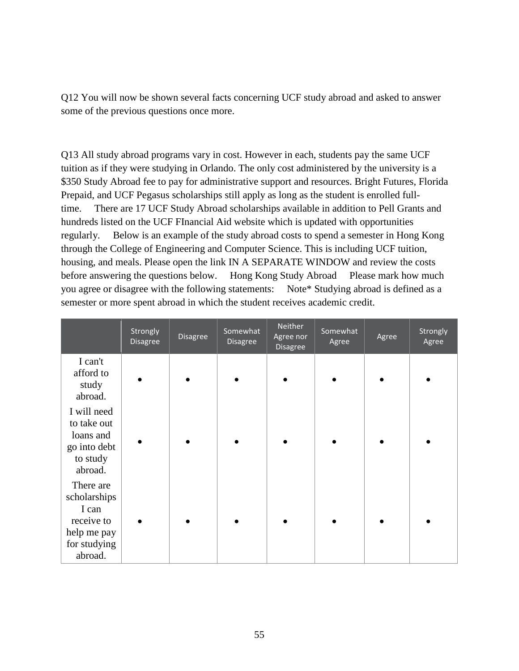Q12 You will now be shown several facts concerning UCF study abroad and asked to answer some of the previous questions once more.

Q13 All study abroad programs vary in cost. However in each, students pay the same UCF tuition as if they were studying in Orlando. The only cost administered by the university is a \$350 Study Abroad fee to pay for administrative support and resources. Bright Futures, Florida Prepaid, and UCF Pegasus scholarships still apply as long as the student is enrolled fulltime. There are 17 UCF Study Abroad scholarships available in addition to Pell Grants and hundreds listed on the UCF FInancial Aid website which is updated with opportunities regularly. Below is an example of the study abroad costs to spend a semester in Hong Kong through the College of Engineering and Computer Science. This is including UCF tuition, housing, and meals. Please open the link IN A SEPARATE WINDOW and review the costs before answering the questions below. Hong Kong Study Abroad Please mark how much you agree or disagree with the following statements: Note\* Studying abroad is defined as a semester or more spent abroad in which the student receives academic credit.

|                                                                                            | Strongly<br><b>Disagree</b> | <b>Disagree</b> | Somewhat<br>Disagree | Neither<br>Agree nor<br><b>Disagree</b> | Somewhat<br>Agree | Agree | Strongly<br>Agree |
|--------------------------------------------------------------------------------------------|-----------------------------|-----------------|----------------------|-----------------------------------------|-------------------|-------|-------------------|
| I can't<br>afford to<br>study<br>abroad.                                                   |                             |                 |                      |                                         |                   |       |                   |
| I will need<br>to take out<br>loans and<br>go into debt<br>to study<br>abroad.             |                             |                 |                      |                                         |                   |       |                   |
| There are<br>scholarships<br>I can<br>receive to<br>help me pay<br>for studying<br>abroad. |                             |                 |                      |                                         |                   |       |                   |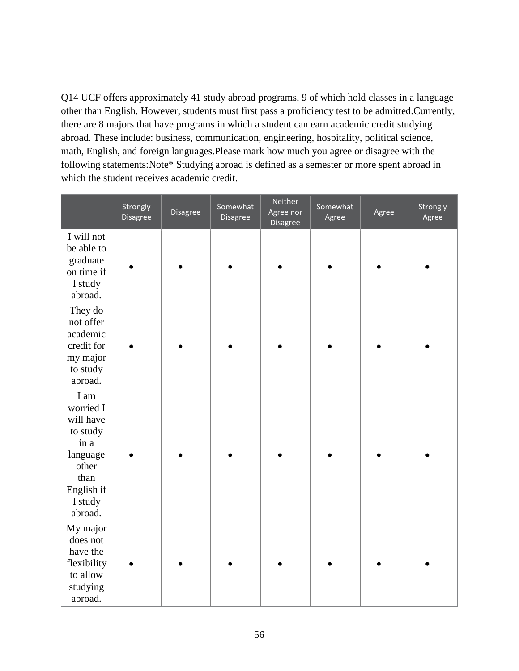Q14 UCF offers approximately 41 study abroad programs, 9 of which hold classes in a language other than English. However, students must first pass a proficiency test to be admitted.Currently, there are 8 majors that have programs in which a student can earn academic credit studying abroad. These include: business, communication, engineering, hospitality, political science, math, English, and foreign languages.Please mark how much you agree or disagree with the following statements:Note\* Studying abroad is defined as a semester or more spent abroad in which the student receives academic credit.

|                                                                                                                     | Strongly<br>Disagree | Disagree | Somewhat<br>Disagree | Neither<br>Agree nor<br>Disagree | Somewhat<br>Agree | Agree | Strongly<br>Agree |
|---------------------------------------------------------------------------------------------------------------------|----------------------|----------|----------------------|----------------------------------|-------------------|-------|-------------------|
| I will not<br>be able to<br>graduate<br>on time if<br>I study<br>abroad.                                            |                      |          |                      |                                  |                   |       |                   |
| They do<br>not offer<br>academic<br>credit for<br>my major<br>to study<br>abroad.                                   |                      |          |                      |                                  |                   |       |                   |
| I am<br>worried I<br>will have<br>to study<br>in a<br>language<br>other<br>than<br>English if<br>I study<br>abroad. |                      |          |                      |                                  |                   |       |                   |
| My major<br>does not<br>have the<br>flexibility<br>to allow<br>studying<br>abroad.                                  |                      |          |                      |                                  |                   |       |                   |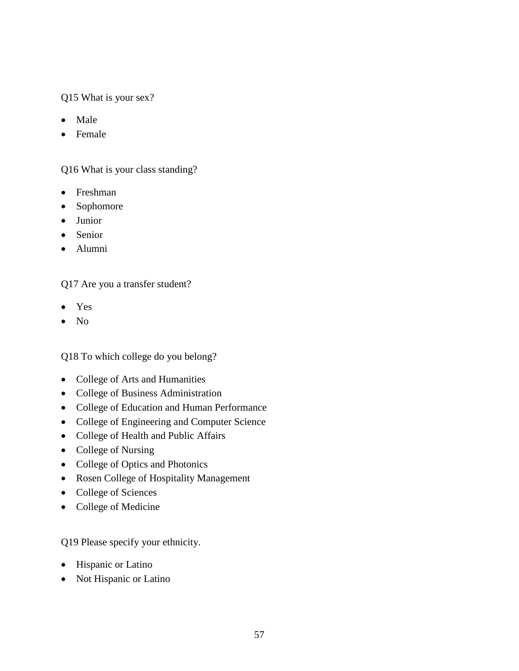# Q15 What is your sex?

- Male
- Female

# Q16 What is your class standing?

- Freshman
- Sophomore
- Junior
- Senior
- Alumni

Q17 Are you a transfer student?

- Yes
- No

Q18 To which college do you belong?

- College of Arts and Humanities
- College of Business Administration
- College of Education and Human Performance
- College of Engineering and Computer Science
- College of Health and Public Affairs
- College of Nursing
- College of Optics and Photonics
- Rosen College of Hospitality Management
- College of Sciences
- College of Medicine

Q19 Please specify your ethnicity.

- Hispanic or Latino
- Not Hispanic or Latino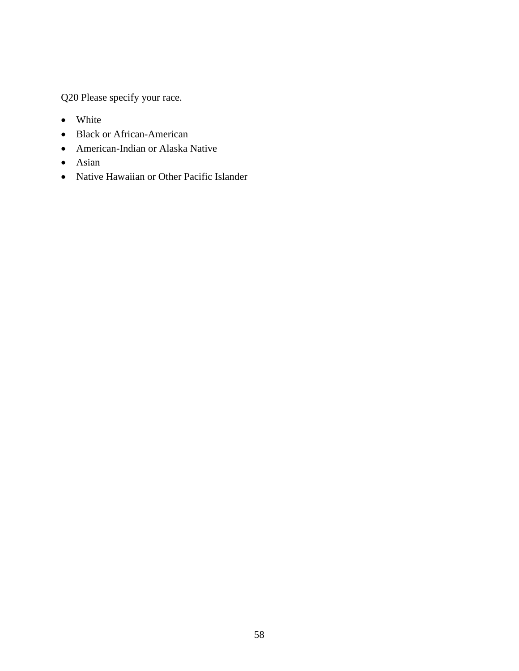Q20 Please specify your race.

- White
- Black or African-American
- American-Indian or Alaska Native
- Asian
- Native Hawaiian or Other Pacific Islander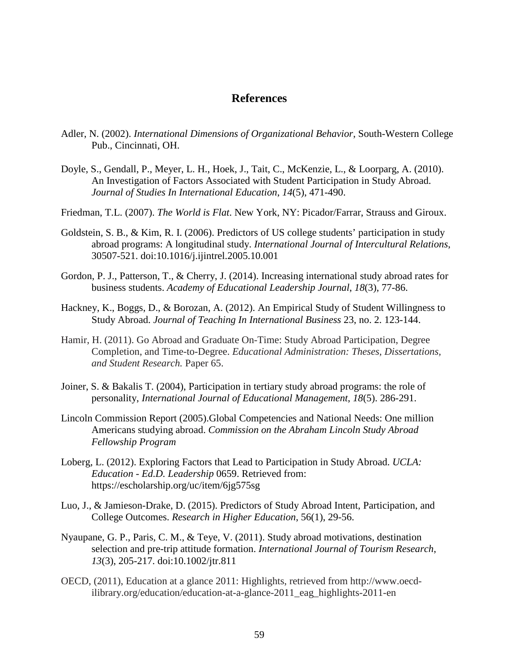## **References**

- <span id="page-65-0"></span>Adler, N. (2002). *International Dimensions of Organizational Behavior*, South-Western College Pub., Cincinnati, OH.
- Doyle, S., Gendall, P., Meyer, L. H., Hoek, J., Tait, C., McKenzie, L., & Loorparg, A. (2010). An Investigation of Factors Associated with Student Participation in Study Abroad. *Journal of Studies In International Education*, *14*(5), 471-490.
- Friedman, T.L. (2007). *The World is Flat*. New York, NY: Picador/Farrar, Strauss and Giroux.
- Goldstein, S. B., & Kim, R. I. (2006). Predictors of US college students' participation in study abroad programs: A longitudinal study. *International Journal of Intercultural Relations*, 30507-521. doi:10.1016/j.ijintrel.2005.10.001
- Gordon, P. J., Patterson, T., & Cherry, J. (2014). Increasing international study abroad rates for business students. *Academy of Educational Leadership Journal*, *18*(3), 77-86.
- Hackney, K., Boggs, D., & Borozan, A. (2012). An Empirical Study of Student Willingness to Study Abroad. *Journal of Teaching In International Business* 23, no. 2. 123-144.
- Hamir, H. (2011). Go Abroad and Graduate On-Time: Study Abroad Participation, Degree Completion, and Time-to-Degree. *Educational Administration: Theses, Dissertations, and Student Research.* Paper 65.
- Joiner, S. & Bakalis T. (2004), Participation in tertiary study abroad programs: the role of personality, *International Journal of Educational Management*, *18*(5). 286-291.
- Lincoln Commission Report (2005).Global Competencies and National Needs: One million Americans studying abroad. *Commission on the Abraham Lincoln Study Abroad Fellowship Program*
- Loberg, L. (2012). Exploring Factors that Lead to Participation in Study Abroad. *UCLA: Education - Ed.D. Leadership* 0659. Retrieved from: https://escholarship.org/uc/item/6jg575sg
- Luo, J., & Jamieson-Drake, D. (2015). Predictors of Study Abroad Intent, Participation, and College Outcomes. *Research in Higher Education*, 56(1), 29-56.
- Nyaupane, G. P., Paris, C. M., & Teye, V. (2011). Study abroad motivations, destination selection and pre-trip attitude formation. *International Journal of Tourism Research*, *13*(3), 205-217. doi:10.1002/jtr.811
- OECD, (2011), Education at a glance 2011: Highlights, retrieved from http://www.oecdilibrary.org/education/education-at-a-glance-2011\_eag\_highlights-2011-en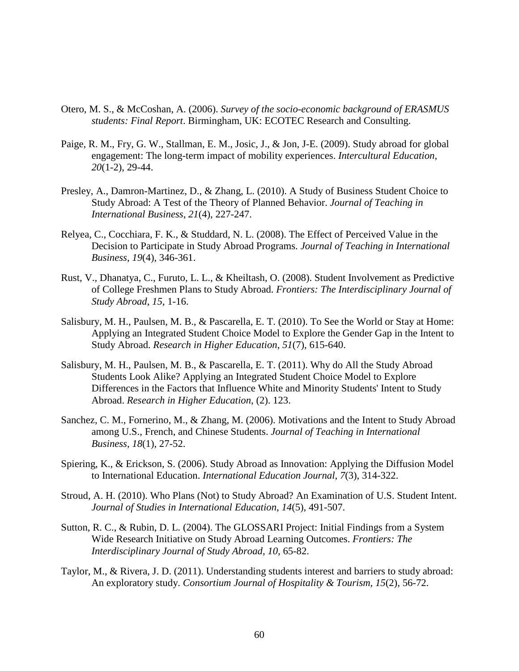- Otero, M. S., & McCoshan, A. (2006). *Survey of the socio-economic background of ERASMUS students: Final Report*. Birmingham, UK: ECOTEC Research and Consulting.
- Paige, R. M., Fry, G. W., Stallman, E. M., Josic, J., & Jon, J-E. (2009). Study abroad for global engagement: The long-term impact of mobility experiences. *Intercultural Education, 20*(1-2), 29-44.
- Presley, A., Damron-Martinez, D., & Zhang, L. (2010). A Study of Business Student Choice to Study Abroad: A Test of the Theory of Planned Behavior. *Journal of Teaching in International Business*, *21*(4), 227-247.
- Relyea, C., Cocchiara, F. K., & Studdard, N. L. (2008). The Effect of Perceived Value in the Decision to Participate in Study Abroad Programs. *Journal of Teaching in International Business*, *19*(4), 346-361.
- Rust, V., Dhanatya, C., Furuto, L. L., & Kheiltash, O. (2008). Student Involvement as Predictive of College Freshmen Plans to Study Abroad. *Frontiers: The Interdisciplinary Journal of Study Abroad*, *15*, 1-16.
- Salisbury, M. H., Paulsen, M. B., & Pascarella, E. T. (2010). To See the World or Stay at Home: Applying an Integrated Student Choice Model to Explore the Gender Gap in the Intent to Study Abroad. *Research in Higher Education*, *51*(7), 615-640.
- Salisbury, M. H., Paulsen, M. B., & Pascarella, E. T. (2011). Why do All the Study Abroad Students Look Alike? Applying an Integrated Student Choice Model to Explore Differences in the Factors that Influence White and Minority Students' Intent to Study Abroad. *Research in Higher Education*, (2). 123.
- Sanchez, C. M., Fornerino, M., & Zhang, M. (2006). Motivations and the Intent to Study Abroad among U.S., French, and Chinese Students. *Journal of Teaching in International Business*, *18*(1), 27-52.
- Spiering, K., & Erickson, S. (2006). Study Abroad as Innovation: Applying the Diffusion Model to International Education. *International Education Journal*, *7*(3), 314-322.
- Stroud, A. H. (2010). Who Plans (Not) to Study Abroad? An Examination of U.S. Student Intent. *Journal of Studies in International Education*, *14*(5), 491-507.
- Sutton, R. C., & Rubin, D. L. (2004). The GLOSSARI Project: Initial Findings from a System Wide Research Initiative on Study Abroad Learning Outcomes. *Frontiers: The Interdisciplinary Journal of Study Abroad*, *10*, 65-82.
- Taylor, M., & Rivera, J. D. (2011). Understanding students interest and barriers to study abroad: An exploratory study. *Consortium Journal of Hospitality & Tourism*, *15*(2), 56-72.